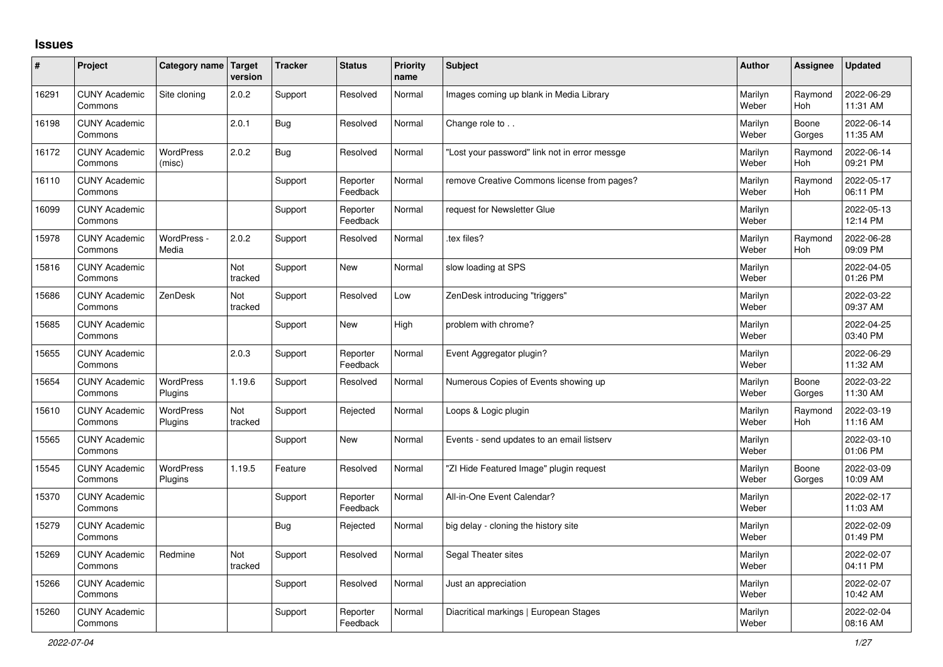## **Issues**

| ∦     | Project                         | Category name Target        | version        | <b>Tracker</b> | <b>Status</b>        | <b>Priority</b><br>name | <b>Subject</b>                                | Author           | Assignee              | <b>Updated</b>         |
|-------|---------------------------------|-----------------------------|----------------|----------------|----------------------|-------------------------|-----------------------------------------------|------------------|-----------------------|------------------------|
| 16291 | <b>CUNY Academic</b><br>Commons | Site cloning                | 2.0.2          | Support        | Resolved             | Normal                  | Images coming up blank in Media Library       | Marilyn<br>Weber | Raymond<br>Hoh        | 2022-06-29<br>11:31 AM |
| 16198 | <b>CUNY Academic</b><br>Commons |                             | 2.0.1          | <b>Bug</b>     | Resolved             | Normal                  | Change role to                                | Marilyn<br>Weber | Boone<br>Gorges       | 2022-06-14<br>11:35 AM |
| 16172 | <b>CUNY Academic</b><br>Commons | <b>WordPress</b><br>(misc)  | 2.0.2          | <b>Bug</b>     | Resolved             | Normal                  | 'Lost your password" link not in error messge | Marilyn<br>Weber | Raymond<br><b>Hoh</b> | 2022-06-14<br>09:21 PM |
| 16110 | <b>CUNY Academic</b><br>Commons |                             |                | Support        | Reporter<br>Feedback | Normal                  | remove Creative Commons license from pages?   | Marilyn<br>Weber | Raymond<br>Hoh        | 2022-05-17<br>06:11 PM |
| 16099 | <b>CUNY Academic</b><br>Commons |                             |                | Support        | Reporter<br>Feedback | Normal                  | request for Newsletter Glue                   | Marilyn<br>Weber |                       | 2022-05-13<br>12:14 PM |
| 15978 | <b>CUNY Academic</b><br>Commons | WordPress -<br>Media        | 2.0.2          | Support        | Resolved             | Normal                  | tex files?                                    | Marilyn<br>Weber | Raymond<br><b>Hoh</b> | 2022-06-28<br>09:09 PM |
| 15816 | <b>CUNY Academic</b><br>Commons |                             | Not<br>tracked | Support        | <b>New</b>           | Normal                  | slow loading at SPS                           | Marilyn<br>Weber |                       | 2022-04-05<br>01:26 PM |
| 15686 | <b>CUNY Academic</b><br>Commons | ZenDesk                     | Not<br>tracked | Support        | Resolved             | Low                     | ZenDesk introducing "triggers"                | Marilyn<br>Weber |                       | 2022-03-22<br>09:37 AM |
| 15685 | <b>CUNY Academic</b><br>Commons |                             |                | Support        | <b>New</b>           | High                    | problem with chrome?                          | Marilyn<br>Weber |                       | 2022-04-25<br>03:40 PM |
| 15655 | <b>CUNY Academic</b><br>Commons |                             | 2.0.3          | Support        | Reporter<br>Feedback | Normal                  | Event Aggregator plugin?                      | Marilyn<br>Weber |                       | 2022-06-29<br>11:32 AM |
| 15654 | <b>CUNY Academic</b><br>Commons | WordPress<br>Plugins        | 1.19.6         | Support        | Resolved             | Normal                  | Numerous Copies of Events showing up          | Marilyn<br>Weber | Boone<br>Gorges       | 2022-03-22<br>11:30 AM |
| 15610 | <b>CUNY Academic</b><br>Commons | <b>WordPress</b><br>Plugins | Not<br>tracked | Support        | Rejected             | Normal                  | Loops & Logic plugin                          | Marilyn<br>Weber | Raymond<br><b>Hoh</b> | 2022-03-19<br>11:16 AM |
| 15565 | <b>CUNY Academic</b><br>Commons |                             |                | Support        | <b>New</b>           | Normal                  | Events - send updates to an email listserv    | Marilyn<br>Weber |                       | 2022-03-10<br>01:06 PM |
| 15545 | <b>CUNY Academic</b><br>Commons | WordPress<br>Plugins        | 1.19.5         | Feature        | Resolved             | Normal                  | "ZI Hide Featured Image" plugin request       | Marilyn<br>Weber | Boone<br>Gorges       | 2022-03-09<br>10:09 AM |
| 15370 | <b>CUNY Academic</b><br>Commons |                             |                | Support        | Reporter<br>Feedback | Normal                  | All-in-One Event Calendar?                    | Marilyn<br>Weber |                       | 2022-02-17<br>11:03 AM |
| 15279 | <b>CUNY Academic</b><br>Commons |                             |                | Bug            | Rejected             | Normal                  | big delay - cloning the history site          | Marilyn<br>Weber |                       | 2022-02-09<br>01:49 PM |
| 15269 | <b>CUNY Academic</b><br>Commons | Redmine                     | Not<br>tracked | Support        | Resolved             | Normal                  | Segal Theater sites                           | Marilyn<br>Weber |                       | 2022-02-07<br>04:11 PM |
| 15266 | <b>CUNY Academic</b><br>Commons |                             |                | Support        | Resolved             | Normal                  | Just an appreciation                          | Marilyn<br>Weber |                       | 2022-02-07<br>10:42 AM |
| 15260 | <b>CUNY Academic</b><br>Commons |                             |                | Support        | Reporter<br>Feedback | Normal                  | Diacritical markings   European Stages        | Marilyn<br>Weber |                       | 2022-02-04<br>08:16 AM |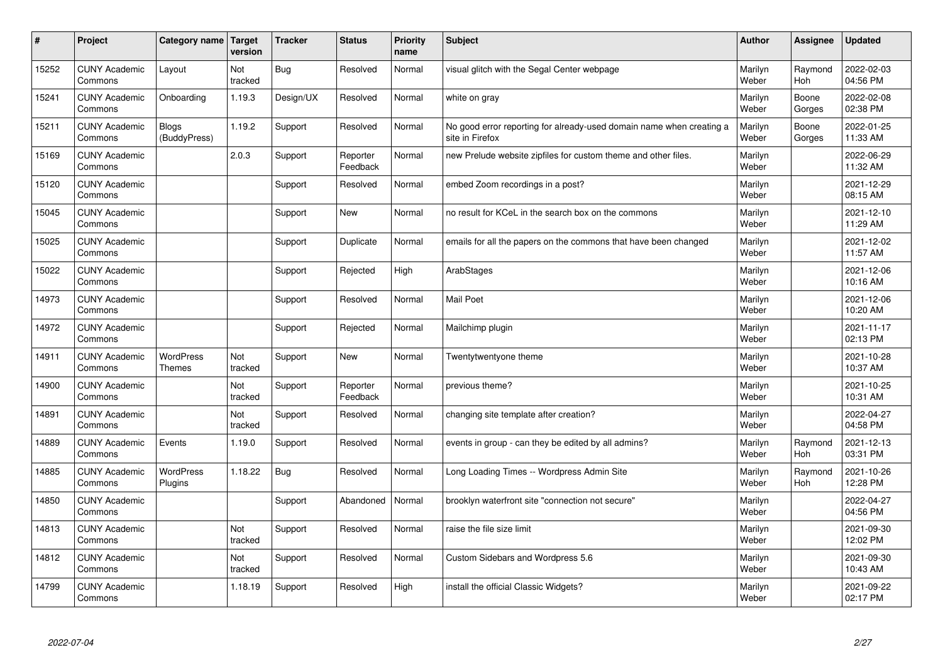| $\vert$ # | Project                         | Category name   Target       | version        | <b>Tracker</b> | <b>Status</b>        | <b>Priority</b><br>name | <b>Subject</b>                                                                          | <b>Author</b>    | Assignee              | Updated                |
|-----------|---------------------------------|------------------------------|----------------|----------------|----------------------|-------------------------|-----------------------------------------------------------------------------------------|------------------|-----------------------|------------------------|
| 15252     | <b>CUNY Academic</b><br>Commons | Layout                       | Not<br>tracked | <b>Bug</b>     | Resolved             | Normal                  | visual glitch with the Segal Center webpage                                             | Marilyn<br>Weber | Raymond<br><b>Hoh</b> | 2022-02-03<br>04:56 PM |
| 15241     | <b>CUNY Academic</b><br>Commons | Onboarding                   | 1.19.3         | Design/UX      | Resolved             | Normal                  | white on gray                                                                           | Marilyn<br>Weber | Boone<br>Gorges       | 2022-02-08<br>02:38 PM |
| 15211     | <b>CUNY Academic</b><br>Commons | <b>Blogs</b><br>(BuddyPress) | 1.19.2         | Support        | Resolved             | Normal                  | No good error reporting for already-used domain name when creating a<br>site in Firefox | Marilyn<br>Weber | Boone<br>Gorges       | 2022-01-25<br>11:33 AM |
| 15169     | <b>CUNY Academic</b><br>Commons |                              | 2.0.3          | Support        | Reporter<br>Feedback | Normal                  | new Prelude website zipfiles for custom theme and other files.                          | Marilyn<br>Weber |                       | 2022-06-29<br>11:32 AM |
| 15120     | <b>CUNY Academic</b><br>Commons |                              |                | Support        | Resolved             | Normal                  | embed Zoom recordings in a post?                                                        | Marilyn<br>Weber |                       | 2021-12-29<br>08:15 AM |
| 15045     | <b>CUNY Academic</b><br>Commons |                              |                | Support        | <b>New</b>           | Normal                  | no result for KCeL in the search box on the commons                                     | Marilyn<br>Weber |                       | 2021-12-10<br>11:29 AM |
| 15025     | <b>CUNY Academic</b><br>Commons |                              |                | Support        | Duplicate            | Normal                  | emails for all the papers on the commons that have been changed                         | Marilyn<br>Weber |                       | 2021-12-02<br>11:57 AM |
| 15022     | <b>CUNY Academic</b><br>Commons |                              |                | Support        | Rejected             | High                    | ArabStages                                                                              | Marilyn<br>Weber |                       | 2021-12-06<br>10:16 AM |
| 14973     | <b>CUNY Academic</b><br>Commons |                              |                | Support        | Resolved             | Normal                  | <b>Mail Poet</b>                                                                        | Marilyn<br>Weber |                       | 2021-12-06<br>10:20 AM |
| 14972     | <b>CUNY Academic</b><br>Commons |                              |                | Support        | Rejected             | Normal                  | Mailchimp plugin                                                                        | Marilyn<br>Weber |                       | 2021-11-17<br>02:13 PM |
| 14911     | <b>CUNY Academic</b><br>Commons | WordPress<br><b>Themes</b>   | Not<br>tracked | Support        | New                  | Normal                  | Twentytwentyone theme                                                                   | Marilyn<br>Weber |                       | 2021-10-28<br>10:37 AM |
| 14900     | <b>CUNY Academic</b><br>Commons |                              | Not<br>tracked | Support        | Reporter<br>Feedback | Normal                  | previous theme?                                                                         | Marilyn<br>Weber |                       | 2021-10-25<br>10:31 AM |
| 14891     | <b>CUNY Academic</b><br>Commons |                              | Not<br>tracked | Support        | Resolved             | Normal                  | changing site template after creation?                                                  | Marilyn<br>Weber |                       | 2022-04-27<br>04:58 PM |
| 14889     | <b>CUNY Academic</b><br>Commons | Events                       | 1.19.0         | Support        | Resolved             | Normal                  | events in group - can they be edited by all admins?                                     | Marilyn<br>Weber | Raymond<br><b>Hoh</b> | 2021-12-13<br>03:31 PM |
| 14885     | <b>CUNY Academic</b><br>Commons | <b>WordPress</b><br>Plugins  | 1.18.22        | Bug            | Resolved             | Normal                  | Long Loading Times -- Wordpress Admin Site                                              | Marilyn<br>Weber | Raymond<br><b>Hoh</b> | 2021-10-26<br>12:28 PM |
| 14850     | <b>CUNY Academic</b><br>Commons |                              |                | Support        | Abandoned            | Normal                  | brooklyn waterfront site "connection not secure"                                        | Marilyn<br>Weber |                       | 2022-04-27<br>04:56 PM |
| 14813     | <b>CUNY Academic</b><br>Commons |                              | Not<br>tracked | Support        | Resolved             | Normal                  | raise the file size limit                                                               | Marilyn<br>Weber |                       | 2021-09-30<br>12:02 PM |
| 14812     | <b>CUNY Academic</b><br>Commons |                              | Not<br>tracked | Support        | Resolved             | Normal                  | Custom Sidebars and Wordpress 5.6                                                       | Marilyn<br>Weber |                       | 2021-09-30<br>10:43 AM |
| 14799     | <b>CUNY Academic</b><br>Commons |                              | 1.18.19        | Support        | Resolved             | High                    | install the official Classic Widgets?                                                   | Marilyn<br>Weber |                       | 2021-09-22<br>02:17 PM |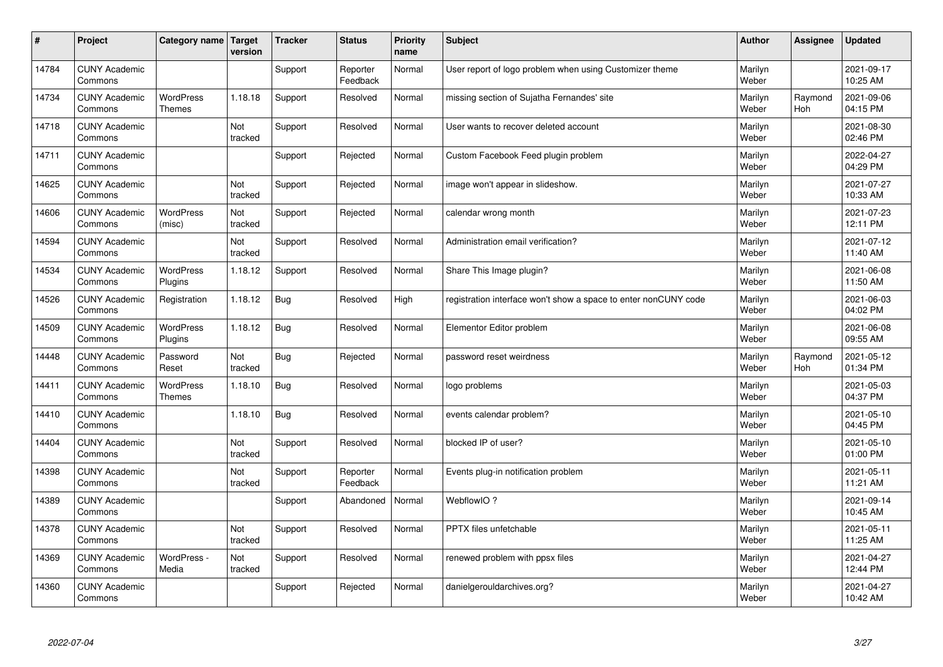| $\vert$ # | Project                         | Category name   Target            | version               | <b>Tracker</b> | <b>Status</b>        | <b>Priority</b><br>name | <b>Subject</b>                                                  | <b>Author</b>    | Assignee       | <b>Updated</b>         |
|-----------|---------------------------------|-----------------------------------|-----------------------|----------------|----------------------|-------------------------|-----------------------------------------------------------------|------------------|----------------|------------------------|
| 14784     | <b>CUNY Academic</b><br>Commons |                                   |                       | Support        | Reporter<br>Feedback | Normal                  | User report of logo problem when using Customizer theme         | Marilyn<br>Weber |                | 2021-09-17<br>10:25 AM |
| 14734     | <b>CUNY Academic</b><br>Commons | <b>WordPress</b><br><b>Themes</b> | 1.18.18               | Support        | Resolved             | Normal                  | missing section of Sujatha Fernandes' site                      | Marilyn<br>Weber | Raymond<br>Hoh | 2021-09-06<br>04:15 PM |
| 14718     | <b>CUNY Academic</b><br>Commons |                                   | Not<br>tracked        | Support        | Resolved             | Normal                  | User wants to recover deleted account                           | Marilyn<br>Weber |                | 2021-08-30<br>02:46 PM |
| 14711     | <b>CUNY Academic</b><br>Commons |                                   |                       | Support        | Rejected             | Normal                  | Custom Facebook Feed plugin problem                             | Marilyn<br>Weber |                | 2022-04-27<br>04:29 PM |
| 14625     | <b>CUNY Academic</b><br>Commons |                                   | <b>Not</b><br>tracked | Support        | Rejected             | Normal                  | image won't appear in slideshow.                                | Marilyn<br>Weber |                | 2021-07-27<br>10:33 AM |
| 14606     | <b>CUNY Academic</b><br>Commons | <b>WordPress</b><br>(misc)        | Not<br>tracked        | Support        | Rejected             | Normal                  | calendar wrong month                                            | Marilyn<br>Weber |                | 2021-07-23<br>12:11 PM |
| 14594     | <b>CUNY Academic</b><br>Commons |                                   | Not<br>tracked        | Support        | Resolved             | Normal                  | Administration email verification?                              | Marilyn<br>Weber |                | 2021-07-12<br>11:40 AM |
| 14534     | <b>CUNY Academic</b><br>Commons | <b>WordPress</b><br>Plugins       | 1.18.12               | Support        | Resolved             | Normal                  | Share This Image plugin?                                        | Marilyn<br>Weber |                | 2021-06-08<br>11:50 AM |
| 14526     | <b>CUNY Academic</b><br>Commons | Registration                      | 1.18.12               | <b>Bug</b>     | Resolved             | High                    | registration interface won't show a space to enter nonCUNY code | Marilyn<br>Weber |                | 2021-06-03<br>04:02 PM |
| 14509     | <b>CUNY Academic</b><br>Commons | WordPress<br>Plugins              | 1.18.12               | Bug            | Resolved             | Normal                  | Elementor Editor problem                                        | Marilyn<br>Weber |                | 2021-06-08<br>09:55 AM |
| 14448     | <b>CUNY Academic</b><br>Commons | Password<br>Reset                 | Not<br>tracked        | <b>Bug</b>     | Rejected             | Normal                  | password reset weirdness                                        | Marilyn<br>Weber | Raymond<br>Hoh | 2021-05-12<br>01:34 PM |
| 14411     | <b>CUNY Academic</b><br>Commons | <b>WordPress</b><br><b>Themes</b> | 1.18.10               | <b>Bug</b>     | Resolved             | Normal                  | logo problems                                                   | Marilyn<br>Weber |                | 2021-05-03<br>04:37 PM |
| 14410     | <b>CUNY Academic</b><br>Commons |                                   | 1.18.10               | <b>Bug</b>     | Resolved             | Normal                  | events calendar problem?                                        | Marilyn<br>Weber |                | 2021-05-10<br>04:45 PM |
| 14404     | <b>CUNY Academic</b><br>Commons |                                   | Not<br>tracked        | Support        | Resolved             | Normal                  | blocked IP of user?                                             | Marilyn<br>Weber |                | 2021-05-10<br>01:00 PM |
| 14398     | <b>CUNY Academic</b><br>Commons |                                   | Not<br>tracked        | Support        | Reporter<br>Feedback | Normal                  | Events plug-in notification problem                             | Marilyn<br>Weber |                | 2021-05-11<br>11:21 AM |
| 14389     | <b>CUNY Academic</b><br>Commons |                                   |                       | Support        | Abandoned            | Normal                  | WebflowIO?                                                      | Marilyn<br>Weber |                | 2021-09-14<br>10:45 AM |
| 14378     | <b>CUNY Academic</b><br>Commons |                                   | Not<br>tracked        | Support        | Resolved             | Normal                  | PPTX files unfetchable                                          | Marilyn<br>Weber |                | 2021-05-11<br>11:25 AM |
| 14369     | <b>CUNY Academic</b><br>Commons | WordPress -<br>Media              | Not<br>tracked        | Support        | Resolved             | Normal                  | renewed problem with ppsx files                                 | Marilyn<br>Weber |                | 2021-04-27<br>12:44 PM |
| 14360     | <b>CUNY Academic</b><br>Commons |                                   |                       | Support        | Rejected             | Normal                  | danielgerouldarchives.org?                                      | Marilyn<br>Weber |                | 2021-04-27<br>10:42 AM |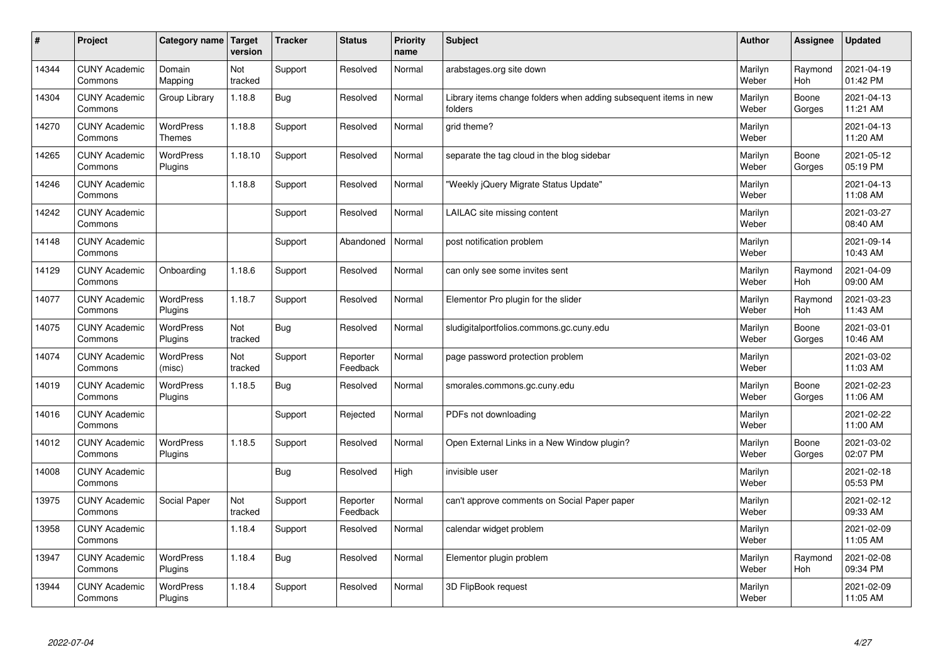| $\sharp$ | Project                         | Category name   Target            | version        | <b>Tracker</b> | <b>Status</b>        | <b>Priority</b><br>name | <b>Subject</b>                                                              | <b>Author</b>    | Assignee              | <b>Updated</b>         |
|----------|---------------------------------|-----------------------------------|----------------|----------------|----------------------|-------------------------|-----------------------------------------------------------------------------|------------------|-----------------------|------------------------|
| 14344    | <b>CUNY Academic</b><br>Commons | Domain<br>Mapping                 | Not<br>tracked | Support        | Resolved             | Normal                  | arabstages.org site down                                                    | Marilyn<br>Weber | Raymond<br>Hoh        | 2021-04-19<br>01:42 PM |
| 14304    | <b>CUNY Academic</b><br>Commons | Group Library                     | 1.18.8         | Bug            | Resolved             | Normal                  | Library items change folders when adding subsequent items in new<br>folders | Marilyn<br>Weber | Boone<br>Gorges       | 2021-04-13<br>11:21 AM |
| 14270    | <b>CUNY Academic</b><br>Commons | <b>WordPress</b><br><b>Themes</b> | 1.18.8         | Support        | Resolved             | Normal                  | grid theme?                                                                 | Marilyn<br>Weber |                       | 2021-04-13<br>11:20 AM |
| 14265    | <b>CUNY Academic</b><br>Commons | <b>WordPress</b><br>Plugins       | 1.18.10        | Support        | Resolved             | Normal                  | separate the tag cloud in the blog sidebar                                  | Marilyn<br>Weber | Boone<br>Gorges       | 2021-05-12<br>05:19 PM |
| 14246    | <b>CUNY Academic</b><br>Commons |                                   | 1.18.8         | Support        | Resolved             | Normal                  | 'Weekly jQuery Migrate Status Update"                                       | Marilyn<br>Weber |                       | 2021-04-13<br>11:08 AM |
| 14242    | <b>CUNY Academic</b><br>Commons |                                   |                | Support        | Resolved             | Normal                  | LAILAC site missing content                                                 | Marilyn<br>Weber |                       | 2021-03-27<br>08:40 AM |
| 14148    | <b>CUNY Academic</b><br>Commons |                                   |                | Support        | Abandoned            | Normal                  | post notification problem                                                   | Marilyn<br>Weber |                       | 2021-09-14<br>10:43 AM |
| 14129    | <b>CUNY Academic</b><br>Commons | Onboarding                        | 1.18.6         | Support        | Resolved             | Normal                  | can only see some invites sent                                              | Marilyn<br>Weber | Raymond<br>Hoh        | 2021-04-09<br>09:00 AM |
| 14077    | <b>CUNY Academic</b><br>Commons | <b>WordPress</b><br>Plugins       | 1.18.7         | Support        | Resolved             | Normal                  | Elementor Pro plugin for the slider                                         | Marilyn<br>Weber | Raymond<br><b>Hoh</b> | 2021-03-23<br>11:43 AM |
| 14075    | <b>CUNY Academic</b><br>Commons | WordPress<br>Plugins              | Not<br>tracked | Bug            | Resolved             | Normal                  | sludigitalportfolios.commons.gc.cuny.edu                                    | Marilyn<br>Weber | Boone<br>Gorges       | 2021-03-01<br>10:46 AM |
| 14074    | <b>CUNY Academic</b><br>Commons | WordPress<br>(misc)               | Not<br>tracked | Support        | Reporter<br>Feedback | Normal                  | page password protection problem                                            | Marilyn<br>Weber |                       | 2021-03-02<br>11:03 AM |
| 14019    | <b>CUNY Academic</b><br>Commons | WordPress<br>Plugins              | 1.18.5         | Bug            | Resolved             | Normal                  | smorales.commons.gc.cuny.edu                                                | Marilyn<br>Weber | Boone<br>Gorges       | 2021-02-23<br>11:06 AM |
| 14016    | <b>CUNY Academic</b><br>Commons |                                   |                | Support        | Rejected             | Normal                  | PDFs not downloading                                                        | Marilyn<br>Weber |                       | 2021-02-22<br>11:00 AM |
| 14012    | <b>CUNY Academic</b><br>Commons | <b>WordPress</b><br>Plugins       | 1.18.5         | Support        | Resolved             | Normal                  | Open External Links in a New Window plugin?                                 | Marilyn<br>Weber | Boone<br>Gorges       | 2021-03-02<br>02:07 PM |
| 14008    | <b>CUNY Academic</b><br>Commons |                                   |                | Bug            | Resolved             | High                    | invisible user                                                              | Marilyn<br>Weber |                       | 2021-02-18<br>05:53 PM |
| 13975    | <b>CUNY Academic</b><br>Commons | Social Paper                      | Not<br>tracked | Support        | Reporter<br>Feedback | Normal                  | can't approve comments on Social Paper paper                                | Marilyn<br>Weber |                       | 2021-02-12<br>09:33 AM |
| 13958    | <b>CUNY Academic</b><br>Commons |                                   | 1.18.4         | Support        | Resolved             | Normal                  | calendar widget problem                                                     | Marilyn<br>Weber |                       | 2021-02-09<br>11:05 AM |
| 13947    | <b>CUNY Academic</b><br>Commons | <b>WordPress</b><br>Plugins       | 1.18.4         | Bug            | Resolved             | Normal                  | Elementor plugin problem                                                    | Marilyn<br>Weber | Raymond<br>Hoh        | 2021-02-08<br>09:34 PM |
| 13944    | <b>CUNY Academic</b><br>Commons | <b>WordPress</b><br>Plugins       | 1.18.4         | Support        | Resolved             | Normal                  | 3D FlipBook request                                                         | Marilyn<br>Weber |                       | 2021-02-09<br>11:05 AM |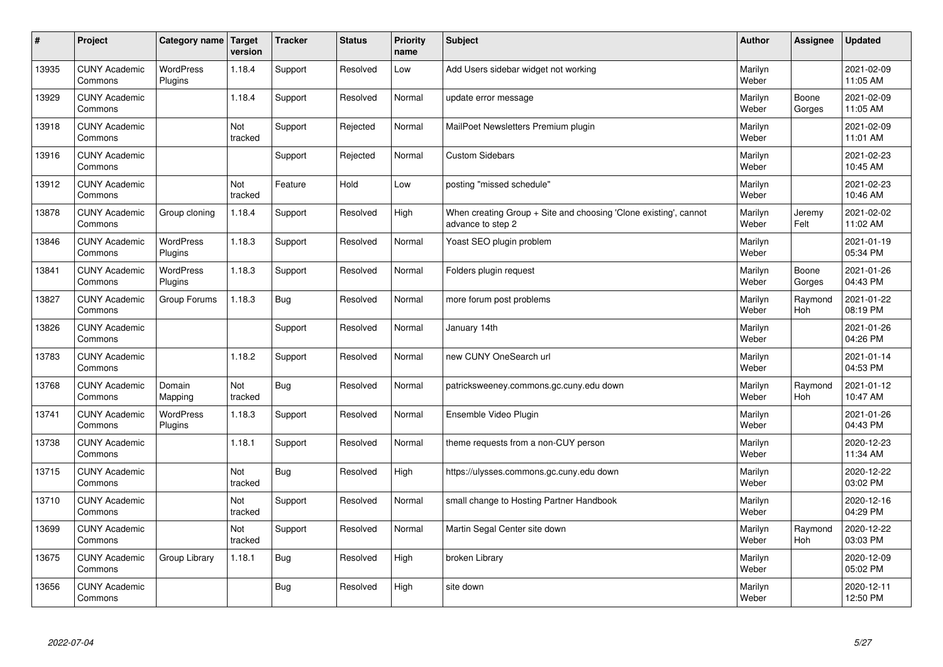| $\sharp$ | Project                         | Category name   Target      | version        | <b>Tracker</b> | <b>Status</b> | <b>Priority</b><br>name | <b>Subject</b>                                                                        | <b>Author</b>    | Assignee              | Updated                |
|----------|---------------------------------|-----------------------------|----------------|----------------|---------------|-------------------------|---------------------------------------------------------------------------------------|------------------|-----------------------|------------------------|
| 13935    | <b>CUNY Academic</b><br>Commons | <b>WordPress</b><br>Plugins | 1.18.4         | Support        | Resolved      | Low                     | Add Users sidebar widget not working                                                  | Marilyn<br>Weber |                       | 2021-02-09<br>11:05 AM |
| 13929    | <b>CUNY Academic</b><br>Commons |                             | 1.18.4         | Support        | Resolved      | Normal                  | update error message                                                                  | Marilyn<br>Weber | Boone<br>Gorges       | 2021-02-09<br>11:05 AM |
| 13918    | <b>CUNY Academic</b><br>Commons |                             | Not<br>tracked | Support        | Rejected      | Normal                  | MailPoet Newsletters Premium plugin                                                   | Marilyn<br>Weber |                       | 2021-02-09<br>11:01 AM |
| 13916    | <b>CUNY Academic</b><br>Commons |                             |                | Support        | Rejected      | Normal                  | <b>Custom Sidebars</b>                                                                | Marilyn<br>Weber |                       | 2021-02-23<br>10:45 AM |
| 13912    | <b>CUNY Academic</b><br>Commons |                             | Not<br>tracked | Feature        | Hold          | Low                     | posting "missed schedule"                                                             | Marilyn<br>Weber |                       | 2021-02-23<br>10:46 AM |
| 13878    | <b>CUNY Academic</b><br>Commons | Group cloning               | 1.18.4         | Support        | Resolved      | High                    | When creating Group + Site and choosing 'Clone existing', cannot<br>advance to step 2 | Marilyn<br>Weber | Jeremy<br>Felt        | 2021-02-02<br>11:02 AM |
| 13846    | <b>CUNY Academic</b><br>Commons | <b>WordPress</b><br>Plugins | 1.18.3         | Support        | Resolved      | Normal                  | Yoast SEO plugin problem                                                              | Marilyn<br>Weber |                       | 2021-01-19<br>05:34 PM |
| 13841    | <b>CUNY Academic</b><br>Commons | <b>WordPress</b><br>Plugins | 1.18.3         | Support        | Resolved      | Normal                  | Folders plugin request                                                                | Marilyn<br>Weber | Boone<br>Gorges       | 2021-01-26<br>04:43 PM |
| 13827    | <b>CUNY Academic</b><br>Commons | Group Forums                | 1.18.3         | <b>Bug</b>     | Resolved      | Normal                  | more forum post problems                                                              | Marilyn<br>Weber | Raymond<br>Hoh        | 2021-01-22<br>08:19 PM |
| 13826    | <b>CUNY Academic</b><br>Commons |                             |                | Support        | Resolved      | Normal                  | January 14th                                                                          | Marilyn<br>Weber |                       | 2021-01-26<br>04:26 PM |
| 13783    | <b>CUNY Academic</b><br>Commons |                             | 1.18.2         | Support        | Resolved      | Normal                  | new CUNY OneSearch url                                                                | Marilyn<br>Weber |                       | 2021-01-14<br>04:53 PM |
| 13768    | <b>CUNY Academic</b><br>Commons | Domain<br>Mapping           | Not<br>tracked | Bug            | Resolved      | Normal                  | patricksweeney.commons.gc.cuny.edu down                                               | Marilyn<br>Weber | Raymond<br>Hoh        | 2021-01-12<br>10:47 AM |
| 13741    | <b>CUNY Academic</b><br>Commons | <b>WordPress</b><br>Plugins | 1.18.3         | Support        | Resolved      | Normal                  | Ensemble Video Plugin                                                                 | Marilyn<br>Weber |                       | 2021-01-26<br>04:43 PM |
| 13738    | <b>CUNY Academic</b><br>Commons |                             | 1.18.1         | Support        | Resolved      | Normal                  | theme requests from a non-CUY person                                                  | Marilyn<br>Weber |                       | 2020-12-23<br>11:34 AM |
| 13715    | <b>CUNY Academic</b><br>Commons |                             | Not<br>tracked | Bug            | Resolved      | High                    | https://ulysses.commons.gc.cuny.edu down                                              | Marilyn<br>Weber |                       | 2020-12-22<br>03:02 PM |
| 13710    | <b>CUNY Academic</b><br>Commons |                             | Not<br>tracked | Support        | Resolved      | Normal                  | small change to Hosting Partner Handbook                                              | Marilyn<br>Weber |                       | 2020-12-16<br>04:29 PM |
| 13699    | <b>CUNY Academic</b><br>Commons |                             | Not<br>tracked | Support        | Resolved      | Normal                  | Martin Segal Center site down                                                         | Marilyn<br>Weber | Raymond<br><b>Hoh</b> | 2020-12-22<br>03:03 PM |
| 13675    | <b>CUNY Academic</b><br>Commons | Group Library               | 1.18.1         | <b>Bug</b>     | Resolved      | High                    | broken Library                                                                        | Marilyn<br>Weber |                       | 2020-12-09<br>05:02 PM |
| 13656    | <b>CUNY Academic</b><br>Commons |                             |                | <b>Bug</b>     | Resolved      | High                    | site down                                                                             | Marilyn<br>Weber |                       | 2020-12-11<br>12:50 PM |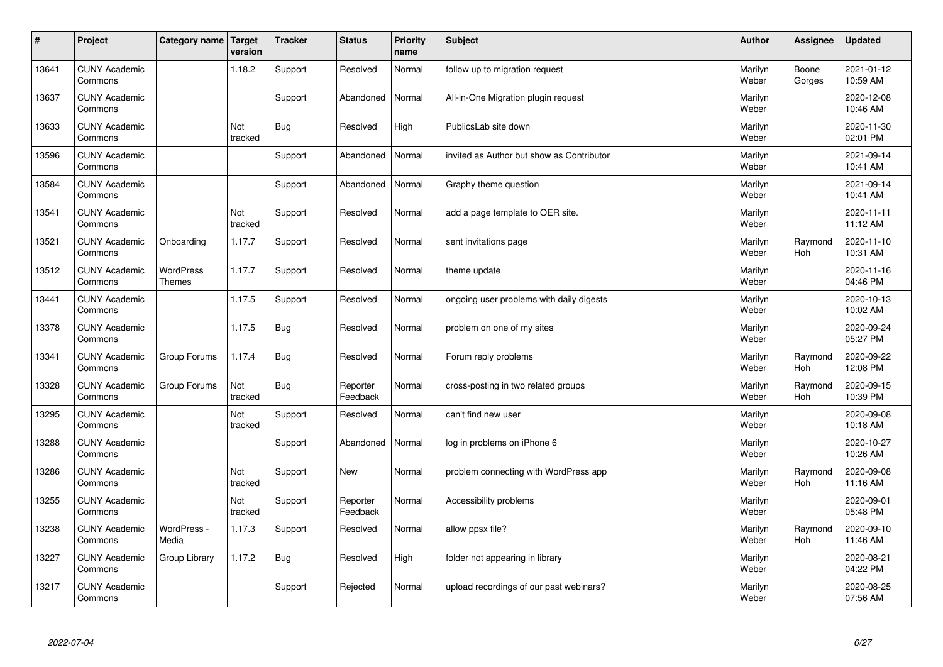| $\sharp$ | Project                         | Category name   Target     | version        | <b>Tracker</b> | <b>Status</b>        | <b>Priority</b><br>name | <b>Subject</b>                            | <b>Author</b>    | Assignee              | <b>Updated</b>         |
|----------|---------------------------------|----------------------------|----------------|----------------|----------------------|-------------------------|-------------------------------------------|------------------|-----------------------|------------------------|
| 13641    | <b>CUNY Academic</b><br>Commons |                            | 1.18.2         | Support        | Resolved             | Normal                  | follow up to migration request            | Marilyn<br>Weber | Boone<br>Gorges       | 2021-01-12<br>10:59 AM |
| 13637    | <b>CUNY Academic</b><br>Commons |                            |                | Support        | Abandoned            | Normal                  | All-in-One Migration plugin request       | Marilyn<br>Weber |                       | 2020-12-08<br>10:46 AM |
| 13633    | <b>CUNY Academic</b><br>Commons |                            | Not<br>tracked | Bug            | Resolved             | High                    | PublicsLab site down                      | Marilyn<br>Weber |                       | 2020-11-30<br>02:01 PM |
| 13596    | <b>CUNY Academic</b><br>Commons |                            |                | Support        | Abandoned            | Normal                  | invited as Author but show as Contributor | Marilyn<br>Weber |                       | 2021-09-14<br>10:41 AM |
| 13584    | <b>CUNY Academic</b><br>Commons |                            |                | Support        | Abandoned            | Normal                  | Graphy theme question                     | Marilyn<br>Weber |                       | 2021-09-14<br>10:41 AM |
| 13541    | <b>CUNY Academic</b><br>Commons |                            | Not<br>tracked | Support        | Resolved             | Normal                  | add a page template to OER site.          | Marilyn<br>Weber |                       | 2020-11-11<br>11:12 AM |
| 13521    | <b>CUNY Academic</b><br>Commons | Onboarding                 | 1.17.7         | Support        | Resolved             | Normal                  | sent invitations page                     | Marilyn<br>Weber | Raymond<br>Hoh        | 2020-11-10<br>10:31 AM |
| 13512    | <b>CUNY Academic</b><br>Commons | WordPress<br><b>Themes</b> | 1.17.7         | Support        | Resolved             | Normal                  | theme update                              | Marilyn<br>Weber |                       | 2020-11-16<br>04:46 PM |
| 13441    | <b>CUNY Academic</b><br>Commons |                            | 1.17.5         | Support        | Resolved             | Normal                  | ongoing user problems with daily digests  | Marilyn<br>Weber |                       | 2020-10-13<br>10:02 AM |
| 13378    | <b>CUNY Academic</b><br>Commons |                            | 1.17.5         | Bug            | Resolved             | Normal                  | problem on one of my sites                | Marilyn<br>Weber |                       | 2020-09-24<br>05:27 PM |
| 13341    | <b>CUNY Academic</b><br>Commons | Group Forums               | 1.17.4         | Bug            | Resolved             | Normal                  | Forum reply problems                      | Marilyn<br>Weber | Raymond<br><b>Hoh</b> | 2020-09-22<br>12:08 PM |
| 13328    | <b>CUNY Academic</b><br>Commons | Group Forums               | Not<br>tracked | Bug            | Reporter<br>Feedback | Normal                  | cross-posting in two related groups       | Marilyn<br>Weber | Raymond<br><b>Hoh</b> | 2020-09-15<br>10:39 PM |
| 13295    | <b>CUNY Academic</b><br>Commons |                            | Not<br>tracked | Support        | Resolved             | Normal                  | can't find new user                       | Marilyn<br>Weber |                       | 2020-09-08<br>10:18 AM |
| 13288    | <b>CUNY Academic</b><br>Commons |                            |                | Support        | Abandoned            | Normal                  | log in problems on iPhone 6               | Marilyn<br>Weber |                       | 2020-10-27<br>10:26 AM |
| 13286    | <b>CUNY Academic</b><br>Commons |                            | Not<br>tracked | Support        | <b>New</b>           | Normal                  | problem connecting with WordPress app     | Marilyn<br>Weber | Raymond<br><b>Hoh</b> | 2020-09-08<br>11:16 AM |
| 13255    | <b>CUNY Academic</b><br>Commons |                            | Not<br>tracked | Support        | Reporter<br>Feedback | Normal                  | Accessibility problems                    | Marilyn<br>Weber |                       | 2020-09-01<br>05:48 PM |
| 13238    | <b>CUNY Academic</b><br>Commons | WordPress -<br>Media       | 1.17.3         | Support        | Resolved             | Normal                  | allow ppsx file?                          | Marilyn<br>Weber | Raymond<br>Hoh        | 2020-09-10<br>11:46 AM |
| 13227    | <b>CUNY Academic</b><br>Commons | Group Library              | 1.17.2         | Bug            | Resolved             | High                    | folder not appearing in library           | Marilyn<br>Weber |                       | 2020-08-21<br>04:22 PM |
| 13217    | <b>CUNY Academic</b><br>Commons |                            |                | Support        | Rejected             | Normal                  | upload recordings of our past webinars?   | Marilyn<br>Weber |                       | 2020-08-25<br>07:56 AM |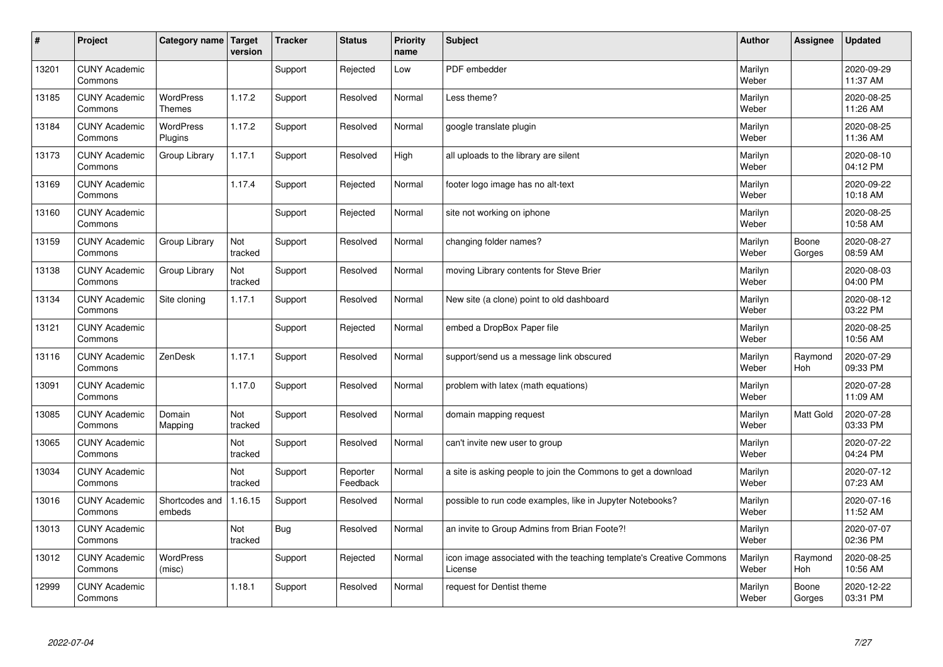| #     | Project                         | Category name   Target            | version        | <b>Tracker</b> | <b>Status</b>        | <b>Priority</b><br>name | <b>Subject</b>                                                                 | <b>Author</b>    | Assignee              | <b>Updated</b>         |
|-------|---------------------------------|-----------------------------------|----------------|----------------|----------------------|-------------------------|--------------------------------------------------------------------------------|------------------|-----------------------|------------------------|
| 13201 | <b>CUNY Academic</b><br>Commons |                                   |                | Support        | Rejected             | Low                     | PDF embedder                                                                   | Marilyn<br>Weber |                       | 2020-09-29<br>11:37 AM |
| 13185 | <b>CUNY Academic</b><br>Commons | <b>WordPress</b><br><b>Themes</b> | 1.17.2         | Support        | Resolved             | Normal                  | Less theme?                                                                    | Marilyn<br>Weber |                       | 2020-08-25<br>11:26 AM |
| 13184 | <b>CUNY Academic</b><br>Commons | <b>WordPress</b><br>Plugins       | 1.17.2         | Support        | Resolved             | Normal                  | google translate plugin                                                        | Marilyn<br>Weber |                       | 2020-08-25<br>11:36 AM |
| 13173 | <b>CUNY Academic</b><br>Commons | Group Library                     | 1.17.1         | Support        | Resolved             | High                    | all uploads to the library are silent                                          | Marilyn<br>Weber |                       | 2020-08-10<br>04:12 PM |
| 13169 | <b>CUNY Academic</b><br>Commons |                                   | 1.17.4         | Support        | Rejected             | Normal                  | footer logo image has no alt-text                                              | Marilyn<br>Weber |                       | 2020-09-22<br>10:18 AM |
| 13160 | <b>CUNY Academic</b><br>Commons |                                   |                | Support        | Rejected             | Normal                  | site not working on iphone                                                     | Marilyn<br>Weber |                       | 2020-08-25<br>10:58 AM |
| 13159 | <b>CUNY Academic</b><br>Commons | Group Library                     | Not<br>tracked | Support        | Resolved             | Normal                  | changing folder names?                                                         | Marilyn<br>Weber | Boone<br>Gorges       | 2020-08-27<br>08:59 AM |
| 13138 | <b>CUNY Academic</b><br>Commons | Group Library                     | Not<br>tracked | Support        | Resolved             | Normal                  | moving Library contents for Steve Brier                                        | Marilyn<br>Weber |                       | 2020-08-03<br>04:00 PM |
| 13134 | <b>CUNY Academic</b><br>Commons | Site cloning                      | 1.17.1         | Support        | Resolved             | Normal                  | New site (a clone) point to old dashboard                                      | Marilyn<br>Weber |                       | 2020-08-12<br>03:22 PM |
| 13121 | <b>CUNY Academic</b><br>Commons |                                   |                | Support        | Rejected             | Normal                  | embed a DropBox Paper file                                                     | Marilyn<br>Weber |                       | 2020-08-25<br>10:56 AM |
| 13116 | <b>CUNY Academic</b><br>Commons | ZenDesk                           | 1.17.1         | Support        | Resolved             | Normal                  | support/send us a message link obscured                                        | Marilyn<br>Weber | Raymond<br><b>Hoh</b> | 2020-07-29<br>09:33 PM |
| 13091 | <b>CUNY Academic</b><br>Commons |                                   | 1.17.0         | Support        | Resolved             | Normal                  | problem with latex (math equations)                                            | Marilyn<br>Weber |                       | 2020-07-28<br>11:09 AM |
| 13085 | <b>CUNY Academic</b><br>Commons | Domain<br>Mapping                 | Not<br>tracked | Support        | Resolved             | Normal                  | domain mapping request                                                         | Marilyn<br>Weber | Matt Gold             | 2020-07-28<br>03:33 PM |
| 13065 | <b>CUNY Academic</b><br>Commons |                                   | Not<br>tracked | Support        | Resolved             | Normal                  | can't invite new user to group                                                 | Marilyn<br>Weber |                       | 2020-07-22<br>04:24 PM |
| 13034 | <b>CUNY Academic</b><br>Commons |                                   | Not<br>tracked | Support        | Reporter<br>Feedback | Normal                  | a site is asking people to join the Commons to get a download                  | Marilyn<br>Weber |                       | 2020-07-12<br>07:23 AM |
| 13016 | <b>CUNY Academic</b><br>Commons | Shortcodes and<br>embeds          | 1.16.15        | Support        | Resolved             | Normal                  | possible to run code examples, like in Jupyter Notebooks?                      | Marilyn<br>Weber |                       | 2020-07-16<br>11:52 AM |
| 13013 | <b>CUNY Academic</b><br>Commons |                                   | Not<br>tracked | <b>Bug</b>     | Resolved             | Normal                  | an invite to Group Admins from Brian Foote?!                                   | Marilyn<br>Weber |                       | 2020-07-07<br>02:36 PM |
| 13012 | <b>CUNY Academic</b><br>Commons | <b>WordPress</b><br>(misc)        |                | Support        | Rejected             | Normal                  | icon image associated with the teaching template's Creative Commons<br>License | Marilyn<br>Weber | Raymond<br>Hoh        | 2020-08-25<br>10:56 AM |
| 12999 | <b>CUNY Academic</b><br>Commons |                                   | 1.18.1         | Support        | Resolved             | Normal                  | request for Dentist theme                                                      | Marilyn<br>Weber | Boone<br>Gorges       | 2020-12-22<br>03:31 PM |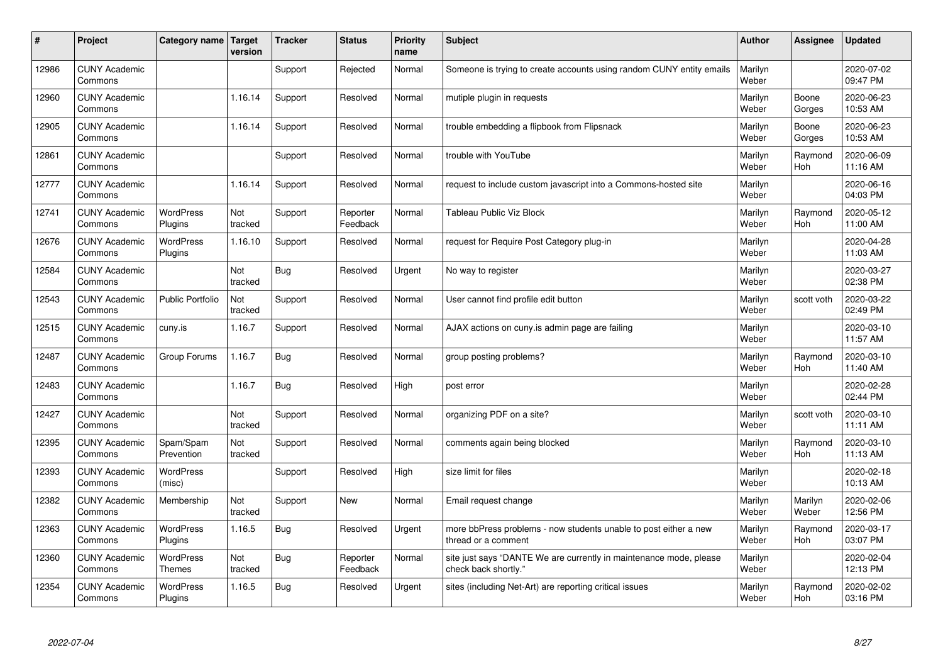| #     | Project                         | Category name   Target      | version        | <b>Tracker</b> | <b>Status</b>        | <b>Priority</b><br>name | <b>Subject</b>                                                                             | <b>Author</b>    | Assignee              | <b>Updated</b>         |
|-------|---------------------------------|-----------------------------|----------------|----------------|----------------------|-------------------------|--------------------------------------------------------------------------------------------|------------------|-----------------------|------------------------|
| 12986 | <b>CUNY Academic</b><br>Commons |                             |                | Support        | Rejected             | Normal                  | Someone is trying to create accounts using random CUNY entity emails                       | Marilyn<br>Weber |                       | 2020-07-02<br>09:47 PM |
| 12960 | <b>CUNY Academic</b><br>Commons |                             | 1.16.14        | Support        | Resolved             | Normal                  | mutiple plugin in requests                                                                 | Marilyn<br>Weber | Boone<br>Gorges       | 2020-06-23<br>10:53 AM |
| 12905 | <b>CUNY Academic</b><br>Commons |                             | 1.16.14        | Support        | Resolved             | Normal                  | trouble embedding a flipbook from Flipsnack                                                | Marilyn<br>Weber | Boone<br>Gorges       | 2020-06-23<br>10:53 AM |
| 12861 | <b>CUNY Academic</b><br>Commons |                             |                | Support        | Resolved             | Normal                  | trouble with YouTube                                                                       | Marilyn<br>Weber | Raymond<br>Hoh        | 2020-06-09<br>11:16 AM |
| 12777 | <b>CUNY Academic</b><br>Commons |                             | 1.16.14        | Support        | Resolved             | Normal                  | request to include custom javascript into a Commons-hosted site                            | Marilyn<br>Weber |                       | 2020-06-16<br>04:03 PM |
| 12741 | <b>CUNY Academic</b><br>Commons | <b>WordPress</b><br>Plugins | Not<br>tracked | Support        | Reporter<br>Feedback | Normal                  | Tableau Public Viz Block                                                                   | Marilyn<br>Weber | Raymond<br>Hoh        | 2020-05-12<br>11:00 AM |
| 12676 | <b>CUNY Academic</b><br>Commons | <b>WordPress</b><br>Plugins | 1.16.10        | Support        | Resolved             | Normal                  | request for Require Post Category plug-in                                                  | Marilyn<br>Weber |                       | 2020-04-28<br>11:03 AM |
| 12584 | <b>CUNY Academic</b><br>Commons |                             | Not<br>tracked | Bug            | Resolved             | Urgent                  | No way to register                                                                         | Marilyn<br>Weber |                       | 2020-03-27<br>02:38 PM |
| 12543 | <b>CUNY Academic</b><br>Commons | Public Portfolio            | Not<br>tracked | Support        | Resolved             | Normal                  | User cannot find profile edit button                                                       | Marilyn<br>Weber | scott voth            | 2020-03-22<br>02:49 PM |
| 12515 | <b>CUNY Academic</b><br>Commons | cuny.is                     | 1.16.7         | Support        | Resolved             | Normal                  | AJAX actions on cuny is admin page are failing                                             | Marilyn<br>Weber |                       | 2020-03-10<br>11:57 AM |
| 12487 | <b>CUNY Academic</b><br>Commons | Group Forums                | 1.16.7         | <b>Bug</b>     | Resolved             | Normal                  | group posting problems?                                                                    | Marilyn<br>Weber | Raymond<br>Hoh        | 2020-03-10<br>11:40 AM |
| 12483 | <b>CUNY Academic</b><br>Commons |                             | 1.16.7         | Bug            | Resolved             | High                    | post error                                                                                 | Marilyn<br>Weber |                       | 2020-02-28<br>02:44 PM |
| 12427 | <b>CUNY Academic</b><br>Commons |                             | Not<br>tracked | Support        | Resolved             | Normal                  | organizing PDF on a site?                                                                  | Marilyn<br>Weber | scott voth            | 2020-03-10<br>11:11 AM |
| 12395 | <b>CUNY Academic</b><br>Commons | Spam/Spam<br>Prevention     | Not<br>tracked | Support        | Resolved             | Normal                  | comments again being blocked                                                               | Marilyn<br>Weber | Raymond<br><b>Hoh</b> | 2020-03-10<br>11:13 AM |
| 12393 | <b>CUNY Academic</b><br>Commons | WordPress<br>(misc)         |                | Support        | Resolved             | High                    | size limit for files                                                                       | Marilyn<br>Weber |                       | 2020-02-18<br>10:13 AM |
| 12382 | <b>CUNY Academic</b><br>Commons | Membership                  | Not<br>tracked | Support        | <b>New</b>           | Normal                  | Email request change                                                                       | Marilyn<br>Weber | Marilyn<br>Weber      | 2020-02-06<br>12:56 PM |
| 12363 | <b>CUNY Academic</b><br>Commons | WordPress<br>Plugins        | 1.16.5         | Bug            | Resolved             | Urgent                  | more bbPress problems - now students unable to post either a new<br>thread or a comment    | Marilyn<br>Weber | Raymond<br><b>Hoh</b> | 2020-03-17<br>03:07 PM |
| 12360 | <b>CUNY Academic</b><br>Commons | WordPress<br><b>Themes</b>  | Not<br>tracked | <b>Bug</b>     | Reporter<br>Feedback | Normal                  | site just says "DANTE We are currently in maintenance mode, please<br>check back shortly." | Marilyn<br>Weber |                       | 2020-02-04<br>12:13 PM |
| 12354 | <b>CUNY Academic</b><br>Commons | <b>WordPress</b><br>Plugins | 1.16.5         | Bug            | Resolved             | Urgent                  | sites (including Net-Art) are reporting critical issues                                    | Marilyn<br>Weber | Raymond<br>Hoh        | 2020-02-02<br>03:16 PM |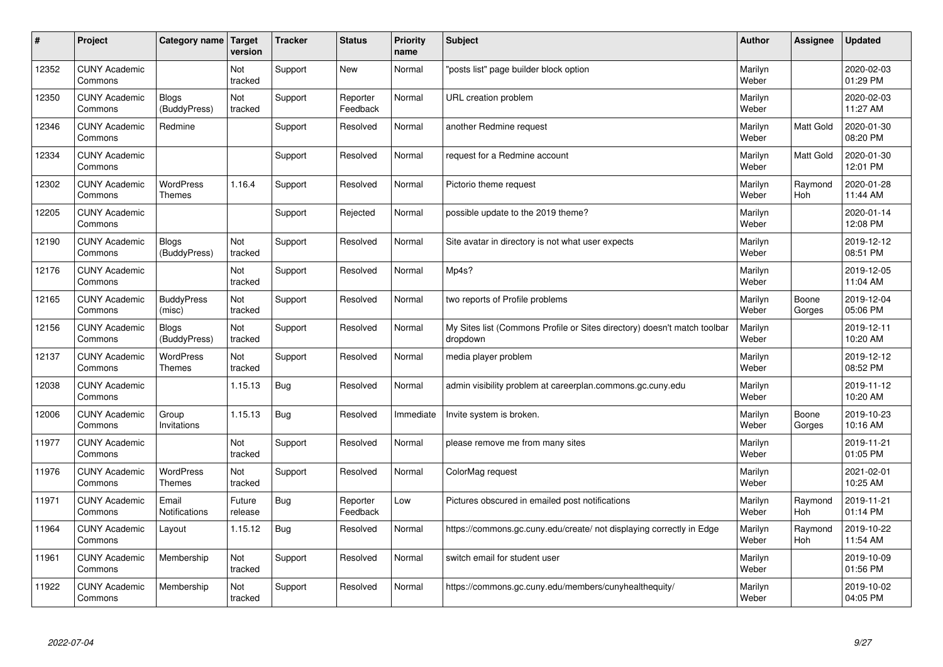| #     | Project                         | Category name   Target            | version           | <b>Tracker</b> | <b>Status</b>        | <b>Priority</b><br>name | <b>Subject</b>                                                                       | <b>Author</b>    | <b>Assignee</b>       | Updated                |
|-------|---------------------------------|-----------------------------------|-------------------|----------------|----------------------|-------------------------|--------------------------------------------------------------------------------------|------------------|-----------------------|------------------------|
| 12352 | <b>CUNY Academic</b><br>Commons |                                   | Not<br>tracked    | Support        | <b>New</b>           | Normal                  | 'posts list" page builder block option                                               | Marilyn<br>Weber |                       | 2020-02-03<br>01:29 PM |
| 12350 | <b>CUNY Academic</b><br>Commons | <b>Blogs</b><br>(BuddyPress)      | Not<br>tracked    | Support        | Reporter<br>Feedback | Normal                  | URL creation problem                                                                 | Marilyn<br>Weber |                       | 2020-02-03<br>11:27 AM |
| 12346 | <b>CUNY Academic</b><br>Commons | Redmine                           |                   | Support        | Resolved             | Normal                  | another Redmine request                                                              | Marilyn<br>Weber | Matt Gold             | 2020-01-30<br>08:20 PM |
| 12334 | <b>CUNY Academic</b><br>Commons |                                   |                   | Support        | Resolved             | Normal                  | request for a Redmine account                                                        | Marilyn<br>Weber | Matt Gold             | 2020-01-30<br>12:01 PM |
| 12302 | <b>CUNY Academic</b><br>Commons | <b>WordPress</b><br><b>Themes</b> | 1.16.4            | Support        | Resolved             | Normal                  | Pictorio theme request                                                               | Marilyn<br>Weber | Raymond<br>Hoh        | 2020-01-28<br>11:44 AM |
| 12205 | <b>CUNY Academic</b><br>Commons |                                   |                   | Support        | Rejected             | Normal                  | possible update to the 2019 theme?                                                   | Marilyn<br>Weber |                       | 2020-01-14<br>12:08 PM |
| 12190 | <b>CUNY Academic</b><br>Commons | Blogs<br>(BuddyPress)             | Not<br>tracked    | Support        | Resolved             | Normal                  | Site avatar in directory is not what user expects                                    | Marilyn<br>Weber |                       | 2019-12-12<br>08:51 PM |
| 12176 | <b>CUNY Academic</b><br>Commons |                                   | Not<br>tracked    | Support        | Resolved             | Normal                  | Mp4s?                                                                                | Marilyn<br>Weber |                       | 2019-12-05<br>11:04 AM |
| 12165 | <b>CUNY Academic</b><br>Commons | <b>BuddyPress</b><br>(misc)       | Not<br>tracked    | Support        | Resolved             | Normal                  | two reports of Profile problems                                                      | Marilyn<br>Weber | Boone<br>Gorges       | 2019-12-04<br>05:06 PM |
| 12156 | <b>CUNY Academic</b><br>Commons | Blogs<br>(BuddyPress)             | Not<br>tracked    | Support        | Resolved             | Normal                  | My Sites list (Commons Profile or Sites directory) doesn't match toolbar<br>dropdown | Marilyn<br>Weber |                       | 2019-12-11<br>10:20 AM |
| 12137 | <b>CUNY Academic</b><br>Commons | <b>WordPress</b><br><b>Themes</b> | Not<br>tracked    | Support        | Resolved             | Normal                  | media player problem                                                                 | Marilyn<br>Weber |                       | 2019-12-12<br>08:52 PM |
| 12038 | <b>CUNY Academic</b><br>Commons |                                   | 1.15.13           | Bug            | Resolved             | Normal                  | admin visibility problem at careerplan.commons.gc.cuny.edu                           | Marilyn<br>Weber |                       | 2019-11-12<br>10:20 AM |
| 12006 | <b>CUNY Academic</b><br>Commons | Group<br>Invitations              | 1.15.13           | Bug            | Resolved             | Immediate               | Invite system is broken.                                                             | Marilyn<br>Weber | Boone<br>Gorges       | 2019-10-23<br>10:16 AM |
| 11977 | <b>CUNY Academic</b><br>Commons |                                   | Not<br>tracked    | Support        | Resolved             | Normal                  | please remove me from many sites                                                     | Marilyn<br>Weber |                       | 2019-11-21<br>01:05 PM |
| 11976 | <b>CUNY Academic</b><br>Commons | <b>WordPress</b><br>Themes        | Not<br>tracked    | Support        | Resolved             | Normal                  | ColorMag request                                                                     | Marilyn<br>Weber |                       | 2021-02-01<br>10:25 AM |
| 11971 | <b>CUNY Academic</b><br>Commons | Email<br>Notifications            | Future<br>release | <b>Bug</b>     | Reporter<br>Feedback | Low                     | Pictures obscured in emailed post notifications                                      | Marilyn<br>Weber | Raymond<br>Hoh        | 2019-11-21<br>01:14 PM |
| 11964 | <b>CUNY Academic</b><br>Commons | Layout                            | 1.15.12           | Bug            | Resolved             | Normal                  | https://commons.gc.cuny.edu/create/ not displaying correctly in Edge                 | Marilyn<br>Weber | Raymond<br><b>Hoh</b> | 2019-10-22<br>11:54 AM |
| 11961 | <b>CUNY Academic</b><br>Commons | Membership                        | Not<br>tracked    | Support        | Resolved             | Normal                  | switch email for student user                                                        | Marilyn<br>Weber |                       | 2019-10-09<br>01:56 PM |
| 11922 | <b>CUNY Academic</b><br>Commons | Membership                        | Not<br>tracked    | Support        | Resolved             | Normal                  | https://commons.gc.cuny.edu/members/cunyhealthequity/                                | Marilyn<br>Weber |                       | 2019-10-02<br>04:05 PM |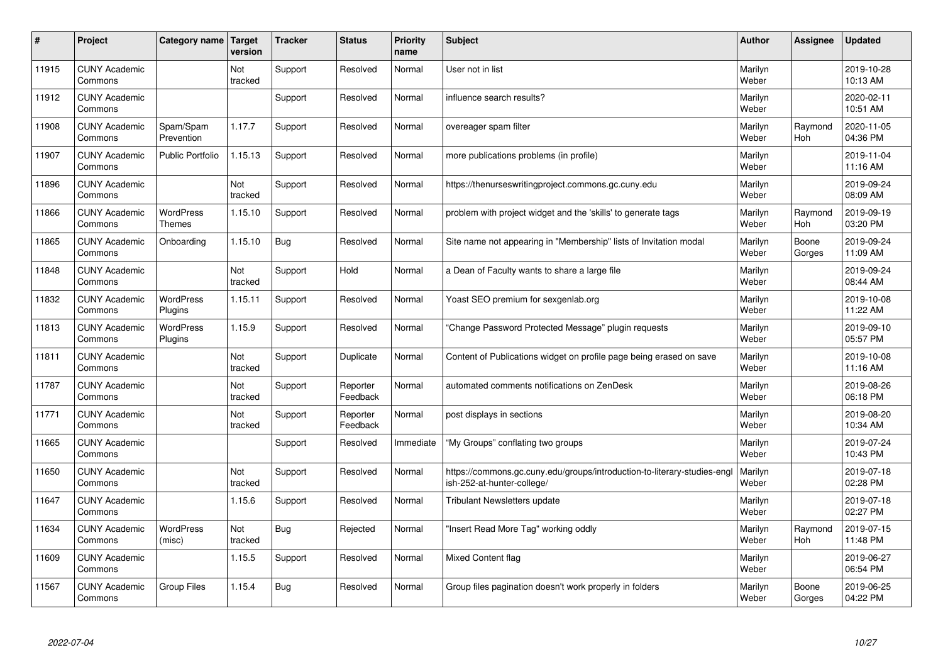| #     | Project                         | Category name   Target            | version        | <b>Tracker</b> | <b>Status</b>        | <b>Priority</b><br>name | <b>Subject</b>                                                                                         | <b>Author</b>    | Assignee        | <b>Updated</b>         |
|-------|---------------------------------|-----------------------------------|----------------|----------------|----------------------|-------------------------|--------------------------------------------------------------------------------------------------------|------------------|-----------------|------------------------|
| 11915 | <b>CUNY Academic</b><br>Commons |                                   | Not<br>tracked | Support        | Resolved             | Normal                  | User not in list                                                                                       | Marilyn<br>Weber |                 | 2019-10-28<br>10:13 AM |
| 11912 | <b>CUNY Academic</b><br>Commons |                                   |                | Support        | Resolved             | Normal                  | influence search results?                                                                              | Marilyn<br>Weber |                 | 2020-02-11<br>10:51 AM |
| 11908 | <b>CUNY Academic</b><br>Commons | Spam/Spam<br>Prevention           | 1.17.7         | Support        | Resolved             | Normal                  | overeager spam filter                                                                                  | Marilyn<br>Weber | Raymond<br>Hoh  | 2020-11-05<br>04:36 PM |
| 11907 | <b>CUNY Academic</b><br>Commons | <b>Public Portfolio</b>           | 1.15.13        | Support        | Resolved             | Normal                  | more publications problems (in profile)                                                                | Marilyn<br>Weber |                 | 2019-11-04<br>11:16 AM |
| 11896 | <b>CUNY Academic</b><br>Commons |                                   | Not<br>tracked | Support        | Resolved             | Normal                  | https://thenurseswritingproject.commons.gc.cuny.edu                                                    | Marilyn<br>Weber |                 | 2019-09-24<br>08:09 AM |
| 11866 | <b>CUNY Academic</b><br>Commons | <b>WordPress</b><br><b>Themes</b> | 1.15.10        | Support        | Resolved             | Normal                  | problem with project widget and the 'skills' to generate tags                                          | Marilyn<br>Weber | Raymond<br>Hoh  | 2019-09-19<br>03:20 PM |
| 11865 | <b>CUNY Academic</b><br>Commons | Onboarding                        | 1.15.10        | Bug            | Resolved             | Normal                  | Site name not appearing in "Membership" lists of Invitation modal                                      | Marilyn<br>Weber | Boone<br>Gorges | 2019-09-24<br>11:09 AM |
| 11848 | <b>CUNY Academic</b><br>Commons |                                   | Not<br>tracked | Support        | Hold                 | Normal                  | a Dean of Faculty wants to share a large file                                                          | Marilyn<br>Weber |                 | 2019-09-24<br>08:44 AM |
| 11832 | <b>CUNY Academic</b><br>Commons | <b>WordPress</b><br>Plugins       | 1.15.11        | Support        | Resolved             | Normal                  | Yoast SEO premium for sexgenlab.org                                                                    | Marilyn<br>Weber |                 | 2019-10-08<br>11:22 AM |
| 11813 | <b>CUNY Academic</b><br>Commons | <b>WordPress</b><br>Plugins       | 1.15.9         | Support        | Resolved             | Normal                  | 'Change Password Protected Message" plugin reguests                                                    | Marilyn<br>Weber |                 | 2019-09-10<br>05:57 PM |
| 11811 | <b>CUNY Academic</b><br>Commons |                                   | Not<br>tracked | Support        | Duplicate            | Normal                  | Content of Publications widget on profile page being erased on save                                    | Marilyn<br>Weber |                 | 2019-10-08<br>11:16 AM |
| 11787 | <b>CUNY Academic</b><br>Commons |                                   | Not<br>tracked | Support        | Reporter<br>Feedback | Normal                  | automated comments notifications on ZenDesk                                                            | Marilyn<br>Weber |                 | 2019-08-26<br>06:18 PM |
| 11771 | <b>CUNY Academic</b><br>Commons |                                   | Not<br>tracked | Support        | Reporter<br>Feedback | Normal                  | post displays in sections                                                                              | Marilyn<br>Weber |                 | 2019-08-20<br>10:34 AM |
| 11665 | <b>CUNY Academic</b><br>Commons |                                   |                | Support        | Resolved             | Immediate               | 'My Groups" conflating two groups                                                                      | Marilyn<br>Weber |                 | 2019-07-24<br>10:43 PM |
| 11650 | <b>CUNY Academic</b><br>Commons |                                   | Not<br>tracked | Support        | Resolved             | Normal                  | https://commons.gc.cuny.edu/groups/introduction-to-literary-studies-engl<br>ish-252-at-hunter-college/ | Marilyn<br>Weber |                 | 2019-07-18<br>02:28 PM |
| 11647 | <b>CUNY Academic</b><br>Commons |                                   | 1.15.6         | Support        | Resolved             | Normal                  | <b>Tribulant Newsletters update</b>                                                                    | Marilyn<br>Weber |                 | 2019-07-18<br>02:27 PM |
| 11634 | <b>CUNY Academic</b><br>Commons | WordPress<br>(misc)               | Not<br>tracked | Bug            | Rejected             | Normal                  | 'Insert Read More Tag" working oddly                                                                   | Marilyn<br>Weber | Raymond<br>Hoh  | 2019-07-15<br>11:48 PM |
| 11609 | <b>CUNY Academic</b><br>Commons |                                   | 1.15.5         | Support        | Resolved             | Normal                  | <b>Mixed Content flag</b>                                                                              | Marilyn<br>Weber |                 | 2019-06-27<br>06:54 PM |
| 11567 | <b>CUNY Academic</b><br>Commons | Group Files                       | 1.15.4         | Bug            | Resolved             | Normal                  | Group files pagination doesn't work properly in folders                                                | Marilyn<br>Weber | Boone<br>Gorges | 2019-06-25<br>04:22 PM |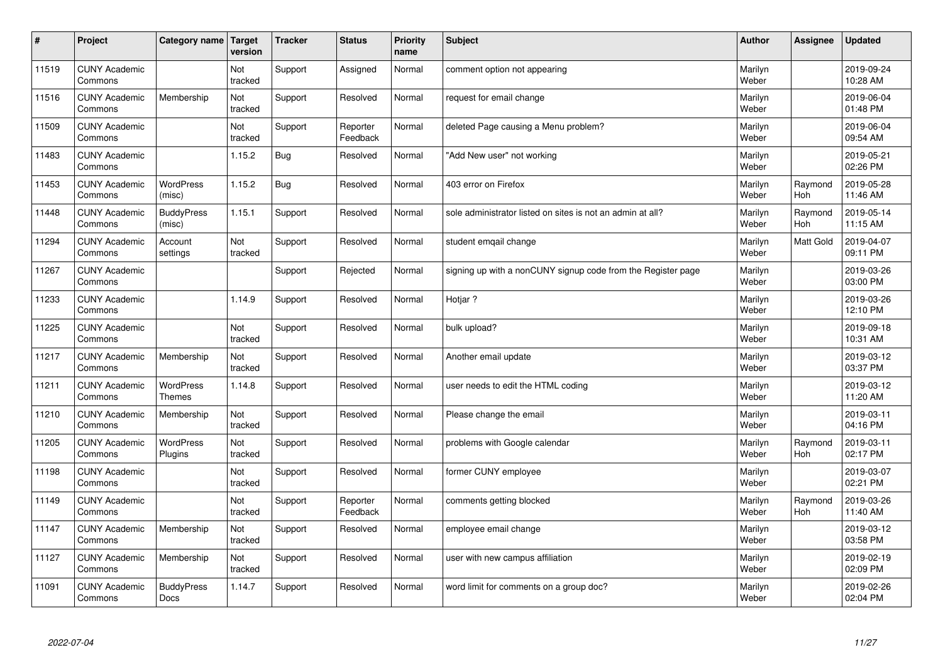| $\sharp$ | Project                         | Category name                     | Target<br>version | <b>Tracker</b> | <b>Status</b>        | <b>Priority</b><br>name | <b>Subject</b>                                               | <b>Author</b>    | Assignee       | <b>Updated</b>         |
|----------|---------------------------------|-----------------------------------|-------------------|----------------|----------------------|-------------------------|--------------------------------------------------------------|------------------|----------------|------------------------|
| 11519    | <b>CUNY Academic</b><br>Commons |                                   | Not<br>tracked    | Support        | Assigned             | Normal                  | comment option not appearing                                 | Marilyn<br>Weber |                | 2019-09-24<br>10:28 AM |
| 11516    | <b>CUNY Academic</b><br>Commons | Membership                        | Not<br>tracked    | Support        | Resolved             | Normal                  | request for email change                                     | Marilyn<br>Weber |                | 2019-06-04<br>01:48 PM |
| 11509    | <b>CUNY Academic</b><br>Commons |                                   | Not<br>tracked    | Support        | Reporter<br>Feedback | Normal                  | deleted Page causing a Menu problem?                         | Marilyn<br>Weber |                | 2019-06-04<br>09:54 AM |
| 11483    | <b>CUNY Academic</b><br>Commons |                                   | 1.15.2            | Bug            | Resolved             | Normal                  | 'Add New user" not working                                   | Marilyn<br>Weber |                | 2019-05-21<br>02:26 PM |
| 11453    | <b>CUNY Academic</b><br>Commons | <b>WordPress</b><br>(misc)        | 1.15.2            | <b>Bug</b>     | Resolved             | Normal                  | 403 error on Firefox                                         | Marilyn<br>Weber | Raymond<br>Hoh | 2019-05-28<br>11:46 AM |
| 11448    | <b>CUNY Academic</b><br>Commons | <b>BuddyPress</b><br>(misc)       | 1.15.1            | Support        | Resolved             | Normal                  | sole administrator listed on sites is not an admin at all?   | Marilyn<br>Weber | Raymond<br>Hoh | 2019-05-14<br>11:15 AM |
| 11294    | <b>CUNY Academic</b><br>Commons | Account<br>settings               | Not<br>tracked    | Support        | Resolved             | Normal                  | student emgail change                                        | Marilyn<br>Weber | Matt Gold      | 2019-04-07<br>09:11 PM |
| 11267    | <b>CUNY Academic</b><br>Commons |                                   |                   | Support        | Rejected             | Normal                  | signing up with a nonCUNY signup code from the Register page | Marilyn<br>Weber |                | 2019-03-26<br>03:00 PM |
| 11233    | <b>CUNY Academic</b><br>Commons |                                   | 1.14.9            | Support        | Resolved             | Normal                  | Hotjar?                                                      | Marilyn<br>Weber |                | 2019-03-26<br>12:10 PM |
| 11225    | <b>CUNY Academic</b><br>Commons |                                   | Not<br>tracked    | Support        | Resolved             | Normal                  | bulk upload?                                                 | Marilyn<br>Weber |                | 2019-09-18<br>10:31 AM |
| 11217    | <b>CUNY Academic</b><br>Commons | Membership                        | Not<br>tracked    | Support        | Resolved             | Normal                  | Another email update                                         | Marilyn<br>Weber |                | 2019-03-12<br>03:37 PM |
| 11211    | <b>CUNY Academic</b><br>Commons | <b>WordPress</b><br><b>Themes</b> | 1.14.8            | Support        | Resolved             | Normal                  | user needs to edit the HTML coding                           | Marilyn<br>Weber |                | 2019-03-12<br>11:20 AM |
| 11210    | <b>CUNY Academic</b><br>Commons | Membership                        | Not<br>tracked    | Support        | Resolved             | Normal                  | Please change the email                                      | Marilyn<br>Weber |                | 2019-03-11<br>04:16 PM |
| 11205    | <b>CUNY Academic</b><br>Commons | WordPress<br>Plugins              | Not<br>tracked    | Support        | Resolved             | Normal                  | problems with Google calendar                                | Marilyn<br>Weber | Raymond<br>Hoh | 2019-03-11<br>02:17 PM |
| 11198    | <b>CUNY Academic</b><br>Commons |                                   | Not<br>tracked    | Support        | Resolved             | Normal                  | former CUNY employee                                         | Marilyn<br>Weber |                | 2019-03-07<br>02:21 PM |
| 11149    | <b>CUNY Academic</b><br>Commons |                                   | Not<br>tracked    | Support        | Reporter<br>Feedback | Normal                  | comments getting blocked                                     | Marilyn<br>Weber | Raymond<br>Hoh | 2019-03-26<br>11:40 AM |
| 11147    | <b>CUNY Academic</b><br>Commons | Membership                        | Not<br>tracked    | Support        | Resolved             | Normal                  | employee email change                                        | Marilyn<br>Weber |                | 2019-03-12<br>03:58 PM |
| 11127    | <b>CUNY Academic</b><br>Commons | Membership                        | Not<br>tracked    | Support        | Resolved             | Normal                  | user with new campus affiliation                             | Marilyn<br>Weber |                | 2019-02-19<br>02:09 PM |
| 11091    | <b>CUNY Academic</b><br>Commons | <b>BuddyPress</b><br>Docs         | 1.14.7            | Support        | Resolved             | Normal                  | word limit for comments on a group doc?                      | Marilyn<br>Weber |                | 2019-02-26<br>02:04 PM |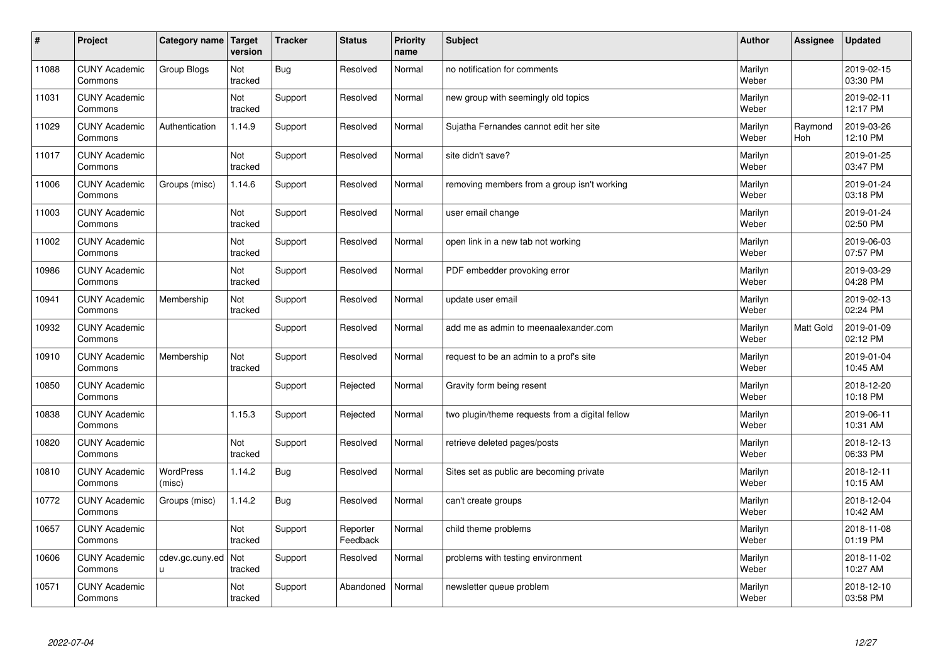| $\vert$ # | Project                         | Category name   Target     | version        | <b>Tracker</b> | <b>Status</b>        | <b>Priority</b><br>name | <b>Subject</b>                                  | <b>Author</b>    | <b>Assignee</b>       | <b>Updated</b>         |
|-----------|---------------------------------|----------------------------|----------------|----------------|----------------------|-------------------------|-------------------------------------------------|------------------|-----------------------|------------------------|
| 11088     | <b>CUNY Academic</b><br>Commons | Group Blogs                | Not<br>tracked | <b>Bug</b>     | Resolved             | Normal                  | no notification for comments                    | Marilyn<br>Weber |                       | 2019-02-15<br>03:30 PM |
| 11031     | <b>CUNY Academic</b><br>Commons |                            | Not<br>tracked | Support        | Resolved             | Normal                  | new group with seemingly old topics             | Marilyn<br>Weber |                       | 2019-02-11<br>12:17 PM |
| 11029     | <b>CUNY Academic</b><br>Commons | Authentication             | 1.14.9         | Support        | Resolved             | Normal                  | Sujatha Fernandes cannot edit her site          | Marilyn<br>Weber | Raymond<br><b>Hoh</b> | 2019-03-26<br>12:10 PM |
| 11017     | <b>CUNY Academic</b><br>Commons |                            | Not<br>tracked | Support        | Resolved             | Normal                  | site didn't save?                               | Marilyn<br>Weber |                       | 2019-01-25<br>03:47 PM |
| 11006     | <b>CUNY Academic</b><br>Commons | Groups (misc)              | 1.14.6         | Support        | Resolved             | Normal                  | removing members from a group isn't working     | Marilyn<br>Weber |                       | 2019-01-24<br>03:18 PM |
| 11003     | <b>CUNY Academic</b><br>Commons |                            | Not<br>tracked | Support        | Resolved             | Normal                  | user email change                               | Marilyn<br>Weber |                       | 2019-01-24<br>02:50 PM |
| 11002     | <b>CUNY Academic</b><br>Commons |                            | Not<br>tracked | Support        | Resolved             | Normal                  | open link in a new tab not working              | Marilyn<br>Weber |                       | 2019-06-03<br>07:57 PM |
| 10986     | <b>CUNY Academic</b><br>Commons |                            | Not<br>tracked | Support        | Resolved             | Normal                  | PDF embedder provoking error                    | Marilyn<br>Weber |                       | 2019-03-29<br>04:28 PM |
| 10941     | <b>CUNY Academic</b><br>Commons | Membership                 | Not<br>tracked | Support        | Resolved             | Normal                  | update user email                               | Marilyn<br>Weber |                       | 2019-02-13<br>02:24 PM |
| 10932     | <b>CUNY Academic</b><br>Commons |                            |                | Support        | Resolved             | Normal                  | add me as admin to meenaalexander.com           | Marilyn<br>Weber | Matt Gold             | 2019-01-09<br>02:12 PM |
| 10910     | <b>CUNY Academic</b><br>Commons | Membership                 | Not<br>tracked | Support        | Resolved             | Normal                  | request to be an admin to a prof's site         | Marilyn<br>Weber |                       | 2019-01-04<br>10:45 AM |
| 10850     | <b>CUNY Academic</b><br>Commons |                            |                | Support        | Rejected             | Normal                  | Gravity form being resent                       | Marilyn<br>Weber |                       | 2018-12-20<br>10:18 PM |
| 10838     | <b>CUNY Academic</b><br>Commons |                            | 1.15.3         | Support        | Rejected             | Normal                  | two plugin/theme requests from a digital fellow | Marilyn<br>Weber |                       | 2019-06-11<br>10:31 AM |
| 10820     | <b>CUNY Academic</b><br>Commons |                            | Not<br>tracked | Support        | Resolved             | Normal                  | retrieve deleted pages/posts                    | Marilyn<br>Weber |                       | 2018-12-13<br>06:33 PM |
| 10810     | <b>CUNY Academic</b><br>Commons | <b>WordPress</b><br>(misc) | 1.14.2         | Bug            | Resolved             | Normal                  | Sites set as public are becoming private        | Marilyn<br>Weber |                       | 2018-12-11<br>10:15 AM |
| 10772     | <b>CUNY Academic</b><br>Commons | Groups (misc)              | 1.14.2         | <b>Bug</b>     | Resolved             | Normal                  | can't create groups                             | Marilyn<br>Weber |                       | 2018-12-04<br>10:42 AM |
| 10657     | <b>CUNY Academic</b><br>Commons |                            | Not<br>tracked | Support        | Reporter<br>Feedback | Normal                  | child theme problems                            | Marilyn<br>Weber |                       | 2018-11-08<br>01:19 PM |
| 10606     | <b>CUNY Academic</b><br>Commons | cdev.gc.cuny.ed<br>u       | Not<br>tracked | Support        | Resolved             | Normal                  | problems with testing environment               | Marilyn<br>Weber |                       | 2018-11-02<br>10:27 AM |
| 10571     | <b>CUNY Academic</b><br>Commons |                            | Not<br>tracked | Support        | Abandoned            | Normal                  | newsletter queue problem                        | Marilyn<br>Weber |                       | 2018-12-10<br>03:58 PM |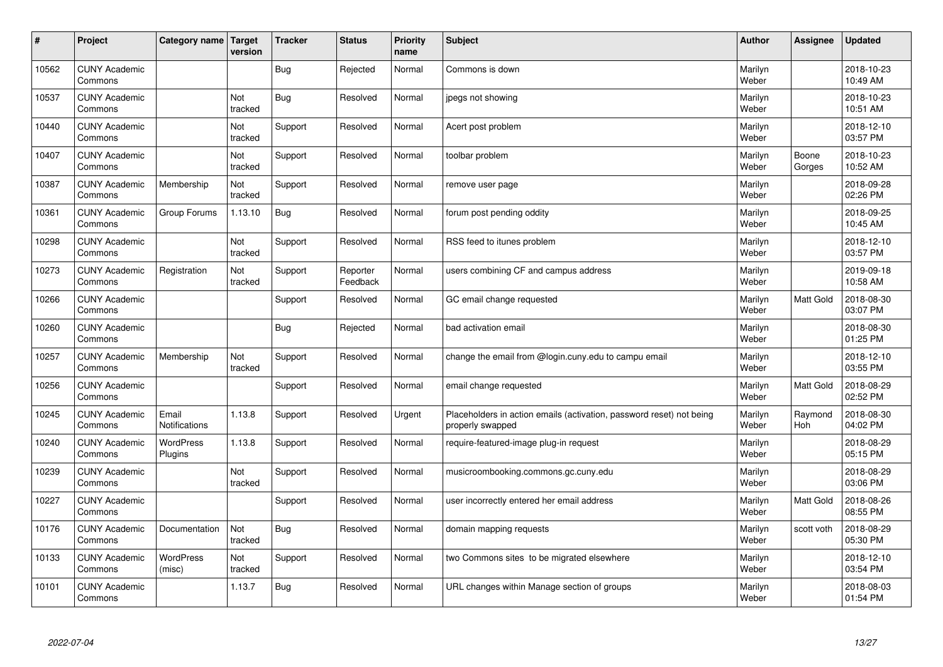| #     | Project                         | Category name   Target        | version        | <b>Tracker</b> | <b>Status</b>        | <b>Priority</b><br>name | <b>Subject</b>                                                                           | <b>Author</b>    | Assignee        | <b>Updated</b>         |
|-------|---------------------------------|-------------------------------|----------------|----------------|----------------------|-------------------------|------------------------------------------------------------------------------------------|------------------|-----------------|------------------------|
| 10562 | <b>CUNY Academic</b><br>Commons |                               |                | Bug            | Rejected             | Normal                  | Commons is down                                                                          | Marilyn<br>Weber |                 | 2018-10-23<br>10:49 AM |
| 10537 | <b>CUNY Academic</b><br>Commons |                               | Not<br>tracked | <b>Bug</b>     | Resolved             | Normal                  | jpegs not showing                                                                        | Marilyn<br>Weber |                 | 2018-10-23<br>10:51 AM |
| 10440 | <b>CUNY Academic</b><br>Commons |                               | Not<br>tracked | Support        | Resolved             | Normal                  | Acert post problem                                                                       | Marilyn<br>Weber |                 | 2018-12-10<br>03:57 PM |
| 10407 | <b>CUNY Academic</b><br>Commons |                               | Not<br>tracked | Support        | Resolved             | Normal                  | toolbar problem                                                                          | Marilyn<br>Weber | Boone<br>Gorges | 2018-10-23<br>10:52 AM |
| 10387 | <b>CUNY Academic</b><br>Commons | Membership                    | Not<br>tracked | Support        | Resolved             | Normal                  | remove user page                                                                         | Marilyn<br>Weber |                 | 2018-09-28<br>02:26 PM |
| 10361 | <b>CUNY Academic</b><br>Commons | Group Forums                  | 1.13.10        | <b>Bug</b>     | Resolved             | Normal                  | forum post pending oddity                                                                | Marilyn<br>Weber |                 | 2018-09-25<br>10:45 AM |
| 10298 | <b>CUNY Academic</b><br>Commons |                               | Not<br>tracked | Support        | Resolved             | Normal                  | RSS feed to itunes problem                                                               | Marilyn<br>Weber |                 | 2018-12-10<br>03:57 PM |
| 10273 | <b>CUNY Academic</b><br>Commons | Registration                  | Not<br>tracked | Support        | Reporter<br>Feedback | Normal                  | users combining CF and campus address                                                    | Marilyn<br>Weber |                 | 2019-09-18<br>10:58 AM |
| 10266 | <b>CUNY Academic</b><br>Commons |                               |                | Support        | Resolved             | Normal                  | GC email change requested                                                                | Marilyn<br>Weber | Matt Gold       | 2018-08-30<br>03:07 PM |
| 10260 | <b>CUNY Academic</b><br>Commons |                               |                | <b>Bug</b>     | Rejected             | Normal                  | bad activation email                                                                     | Marilyn<br>Weber |                 | 2018-08-30<br>01:25 PM |
| 10257 | <b>CUNY Academic</b><br>Commons | Membership                    | Not<br>tracked | Support        | Resolved             | Normal                  | change the email from @login.cuny.edu to campu email                                     | Marilyn<br>Weber |                 | 2018-12-10<br>03:55 PM |
| 10256 | <b>CUNY Academic</b><br>Commons |                               |                | Support        | Resolved             | Normal                  | email change requested                                                                   | Marilyn<br>Weber | Matt Gold       | 2018-08-29<br>02:52 PM |
| 10245 | <b>CUNY Academic</b><br>Commons | Email<br><b>Notifications</b> | 1.13.8         | Support        | Resolved             | Urgent                  | Placeholders in action emails (activation, password reset) not being<br>properly swapped | Marilyn<br>Weber | Raymond<br>Hoh  | 2018-08-30<br>04:02 PM |
| 10240 | <b>CUNY Academic</b><br>Commons | <b>WordPress</b><br>Plugins   | 1.13.8         | Support        | Resolved             | Normal                  | require-featured-image plug-in request                                                   | Marilyn<br>Weber |                 | 2018-08-29<br>05:15 PM |
| 10239 | <b>CUNY Academic</b><br>Commons |                               | Not<br>tracked | Support        | Resolved             | Normal                  | musicroombooking.commons.gc.cuny.edu                                                     | Marilyn<br>Weber |                 | 2018-08-29<br>03:06 PM |
| 10227 | <b>CUNY Academic</b><br>Commons |                               |                | Support        | Resolved             | Normal                  | user incorrectly entered her email address                                               | Marilyn<br>Weber | Matt Gold       | 2018-08-26<br>08:55 PM |
| 10176 | <b>CUNY Academic</b><br>Commons | Documentation                 | Not<br>tracked | <b>Bug</b>     | Resolved             | Normal                  | domain mapping requests                                                                  | Marilyn<br>Weber | scott voth      | 2018-08-29<br>05:30 PM |
| 10133 | <b>CUNY Academic</b><br>Commons | <b>WordPress</b><br>(misc)    | Not<br>tracked | Support        | Resolved             | Normal                  | two Commons sites to be migrated elsewhere                                               | Marilyn<br>Weber |                 | 2018-12-10<br>03:54 PM |
| 10101 | <b>CUNY Academic</b><br>Commons |                               | 1.13.7         | <b>Bug</b>     | Resolved             | Normal                  | URL changes within Manage section of groups                                              | Marilyn<br>Weber |                 | 2018-08-03<br>01:54 PM |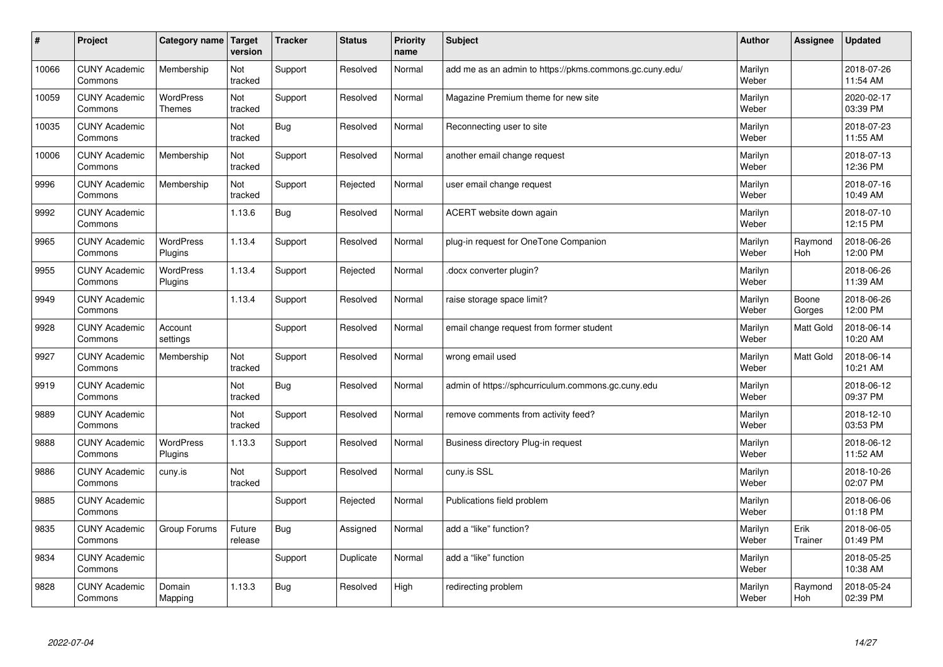| #     | Project                         | Category name   Target            | version           | <b>Tracker</b> | <b>Status</b> | <b>Priority</b><br>name | <b>Subject</b>                                          | <b>Author</b>    | Assignee         | Updated                |
|-------|---------------------------------|-----------------------------------|-------------------|----------------|---------------|-------------------------|---------------------------------------------------------|------------------|------------------|------------------------|
| 10066 | <b>CUNY Academic</b><br>Commons | Membership                        | Not<br>tracked    | Support        | Resolved      | Normal                  | add me as an admin to https://pkms.commons.gc.cuny.edu/ | Marilyn<br>Weber |                  | 2018-07-26<br>11:54 AM |
| 10059 | <b>CUNY Academic</b><br>Commons | <b>WordPress</b><br><b>Themes</b> | Not<br>tracked    | Support        | Resolved      | Normal                  | Magazine Premium theme for new site                     | Marilyn<br>Weber |                  | 2020-02-17<br>03:39 PM |
| 10035 | <b>CUNY Academic</b><br>Commons |                                   | Not<br>tracked    | Bug            | Resolved      | Normal                  | Reconnecting user to site                               | Marilyn<br>Weber |                  | 2018-07-23<br>11:55 AM |
| 10006 | <b>CUNY Academic</b><br>Commons | Membership                        | Not<br>tracked    | Support        | Resolved      | Normal                  | another email change request                            | Marilyn<br>Weber |                  | 2018-07-13<br>12:36 PM |
| 9996  | <b>CUNY Academic</b><br>Commons | Membership                        | Not<br>tracked    | Support        | Rejected      | Normal                  | user email change request                               | Marilyn<br>Weber |                  | 2018-07-16<br>10:49 AM |
| 9992  | <b>CUNY Academic</b><br>Commons |                                   | 1.13.6            | Bug            | Resolved      | Normal                  | ACERT website down again                                | Marilyn<br>Weber |                  | 2018-07-10<br>12:15 PM |
| 9965  | <b>CUNY Academic</b><br>Commons | <b>WordPress</b><br>Plugins       | 1.13.4            | Support        | Resolved      | Normal                  | plug-in request for OneTone Companion                   | Marilyn<br>Weber | Raymond<br>Hoh   | 2018-06-26<br>12:00 PM |
| 9955  | <b>CUNY Academic</b><br>Commons | WordPress<br>Plugins              | 1.13.4            | Support        | Rejected      | Normal                  | docx converter plugin?                                  | Marilyn<br>Weber |                  | 2018-06-26<br>11:39 AM |
| 9949  | <b>CUNY Academic</b><br>Commons |                                   | 1.13.4            | Support        | Resolved      | Normal                  | raise storage space limit?                              | Marilyn<br>Weber | Boone<br>Gorges  | 2018-06-26<br>12:00 PM |
| 9928  | <b>CUNY Academic</b><br>Commons | Account<br>settings               |                   | Support        | Resolved      | Normal                  | email change request from former student                | Marilyn<br>Weber | <b>Matt Gold</b> | 2018-06-14<br>10:20 AM |
| 9927  | <b>CUNY Academic</b><br>Commons | Membership                        | Not<br>tracked    | Support        | Resolved      | Normal                  | wrong email used                                        | Marilyn<br>Weber | Matt Gold        | 2018-06-14<br>10:21 AM |
| 9919  | <b>CUNY Academic</b><br>Commons |                                   | Not<br>tracked    | <b>Bug</b>     | Resolved      | Normal                  | admin of https://sphcurriculum.commons.gc.cuny.edu      | Marilyn<br>Weber |                  | 2018-06-12<br>09:37 PM |
| 9889  | <b>CUNY Academic</b><br>Commons |                                   | Not<br>tracked    | Support        | Resolved      | Normal                  | remove comments from activity feed?                     | Marilyn<br>Weber |                  | 2018-12-10<br>03:53 PM |
| 9888  | <b>CUNY Academic</b><br>Commons | <b>WordPress</b><br>Plugins       | 1.13.3            | Support        | Resolved      | Normal                  | Business directory Plug-in request                      | Marilyn<br>Weber |                  | 2018-06-12<br>11:52 AM |
| 9886  | <b>CUNY Academic</b><br>Commons | cuny.is                           | Not<br>tracked    | Support        | Resolved      | Normal                  | cuny.is SSL                                             | Marilyn<br>Weber |                  | 2018-10-26<br>02:07 PM |
| 9885  | <b>CUNY Academic</b><br>Commons |                                   |                   | Support        | Rejected      | Normal                  | Publications field problem                              | Marilyn<br>Weber |                  | 2018-06-06<br>01:18 PM |
| 9835  | <b>CUNY Academic</b><br>Commons | Group Forums                      | Future<br>release | Bug            | Assigned      | Normal                  | add a "like" function?                                  | Marilyn<br>Weber | Erik<br>Trainer  | 2018-06-05<br>01:49 PM |
| 9834  | <b>CUNY Academic</b><br>Commons |                                   |                   | Support        | Duplicate     | Normal                  | add a "like" function                                   | Marilyn<br>Weber |                  | 2018-05-25<br>10:38 AM |
| 9828  | <b>CUNY Academic</b><br>Commons | Domain<br>Mapping                 | 1.13.3            | Bug            | Resolved      | High                    | redirecting problem                                     | Marilyn<br>Weber | Raymond<br>Hoh   | 2018-05-24<br>02:39 PM |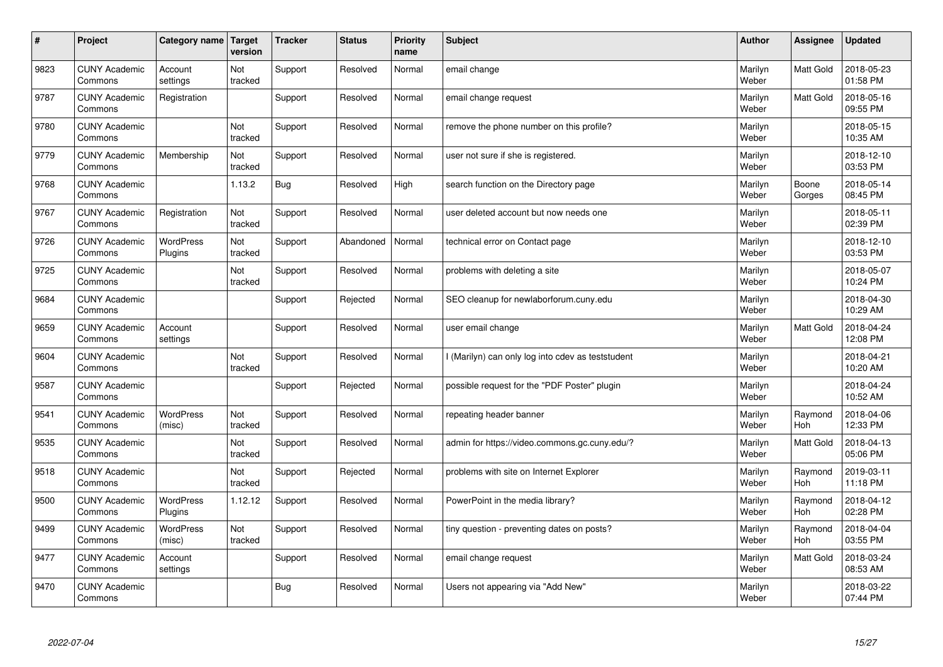| $\sharp$ | Project                         | Category name Target        | version        | <b>Tracker</b> | <b>Status</b> | <b>Priority</b><br>name | <b>Subject</b>                                  | <b>Author</b>    | Assignee              | <b>Updated</b>         |
|----------|---------------------------------|-----------------------------|----------------|----------------|---------------|-------------------------|-------------------------------------------------|------------------|-----------------------|------------------------|
| 9823     | <b>CUNY Academic</b><br>Commons | Account<br>settings         | Not<br>tracked | Support        | Resolved      | Normal                  | email change                                    | Marilyn<br>Weber | <b>Matt Gold</b>      | 2018-05-23<br>01:58 PM |
| 9787     | <b>CUNY Academic</b><br>Commons | Registration                |                | Support        | Resolved      | Normal                  | email change request                            | Marilyn<br>Weber | Matt Gold             | 2018-05-16<br>09:55 PM |
| 9780     | <b>CUNY Academic</b><br>Commons |                             | Not<br>tracked | Support        | Resolved      | Normal                  | remove the phone number on this profile?        | Marilyn<br>Weber |                       | 2018-05-15<br>10:35 AM |
| 9779     | <b>CUNY Academic</b><br>Commons | Membership                  | Not<br>tracked | Support        | Resolved      | Normal                  | user not sure if she is registered.             | Marilyn<br>Weber |                       | 2018-12-10<br>03:53 PM |
| 9768     | <b>CUNY Academic</b><br>Commons |                             | 1.13.2         | <b>Bug</b>     | Resolved      | High                    | search function on the Directory page           | Marilyn<br>Weber | Boone<br>Gorges       | 2018-05-14<br>08:45 PM |
| 9767     | <b>CUNY Academic</b><br>Commons | Registration                | Not<br>tracked | Support        | Resolved      | Normal                  | user deleted account but now needs one          | Marilyn<br>Weber |                       | 2018-05-11<br>02:39 PM |
| 9726     | <b>CUNY Academic</b><br>Commons | WordPress<br>Plugins        | Not<br>tracked | Support        | Abandoned     | Normal                  | technical error on Contact page                 | Marilyn<br>Weber |                       | 2018-12-10<br>03:53 PM |
| 9725     | <b>CUNY Academic</b><br>Commons |                             | Not<br>tracked | Support        | Resolved      | Normal                  | problems with deleting a site                   | Marilyn<br>Weber |                       | 2018-05-07<br>10:24 PM |
| 9684     | <b>CUNY Academic</b><br>Commons |                             |                | Support        | Rejected      | Normal                  | SEO cleanup for newlaborforum.cuny.edu          | Marilyn<br>Weber |                       | 2018-04-30<br>10:29 AM |
| 9659     | <b>CUNY Academic</b><br>Commons | Account<br>settings         |                | Support        | Resolved      | Normal                  | user email change                               | Marilyn<br>Weber | <b>Matt Gold</b>      | 2018-04-24<br>12:08 PM |
| 9604     | <b>CUNY Academic</b><br>Commons |                             | Not<br>tracked | Support        | Resolved      | Normal                  | (Marilyn) can only log into cdev as teststudent | Marilyn<br>Weber |                       | 2018-04-21<br>10:20 AM |
| 9587     | <b>CUNY Academic</b><br>Commons |                             |                | Support        | Rejected      | Normal                  | possible request for the "PDF Poster" plugin    | Marilyn<br>Weber |                       | 2018-04-24<br>10:52 AM |
| 9541     | <b>CUNY Academic</b><br>Commons | <b>WordPress</b><br>(misc)  | Not<br>tracked | Support        | Resolved      | Normal                  | repeating header banner                         | Marilyn<br>Weber | Raymond<br>Hoh        | 2018-04-06<br>12:33 PM |
| 9535     | <b>CUNY Academic</b><br>Commons |                             | Not<br>tracked | Support        | Resolved      | Normal                  | admin for https://video.commons.gc.cuny.edu/?   | Marilyn<br>Weber | Matt Gold             | 2018-04-13<br>05:06 PM |
| 9518     | <b>CUNY Academic</b><br>Commons |                             | Not<br>tracked | Support        | Rejected      | Normal                  | problems with site on Internet Explorer         | Marilyn<br>Weber | Raymond<br><b>Hoh</b> | 2019-03-11<br>11:18 PM |
| 9500     | <b>CUNY Academic</b><br>Commons | <b>WordPress</b><br>Plugins | 1.12.12        | Support        | Resolved      | Normal                  | PowerPoint in the media library?                | Marilyn<br>Weber | Raymond<br><b>Hoh</b> | 2018-04-12<br>02:28 PM |
| 9499     | <b>CUNY Academic</b><br>Commons | WordPress<br>(misc)         | Not<br>tracked | Support        | Resolved      | Normal                  | tiny question - preventing dates on posts?      | Marilyn<br>Weber | Raymond<br>Hoh        | 2018-04-04<br>03:55 PM |
| 9477     | <b>CUNY Academic</b><br>Commons | Account<br>settings         |                | Support        | Resolved      | Normal                  | email change request                            | Marilyn<br>Weber | Matt Gold             | 2018-03-24<br>08:53 AM |
| 9470     | <b>CUNY Academic</b><br>Commons |                             |                | Bug            | Resolved      | Normal                  | Users not appearing via "Add New"               | Marilyn<br>Weber |                       | 2018-03-22<br>07:44 PM |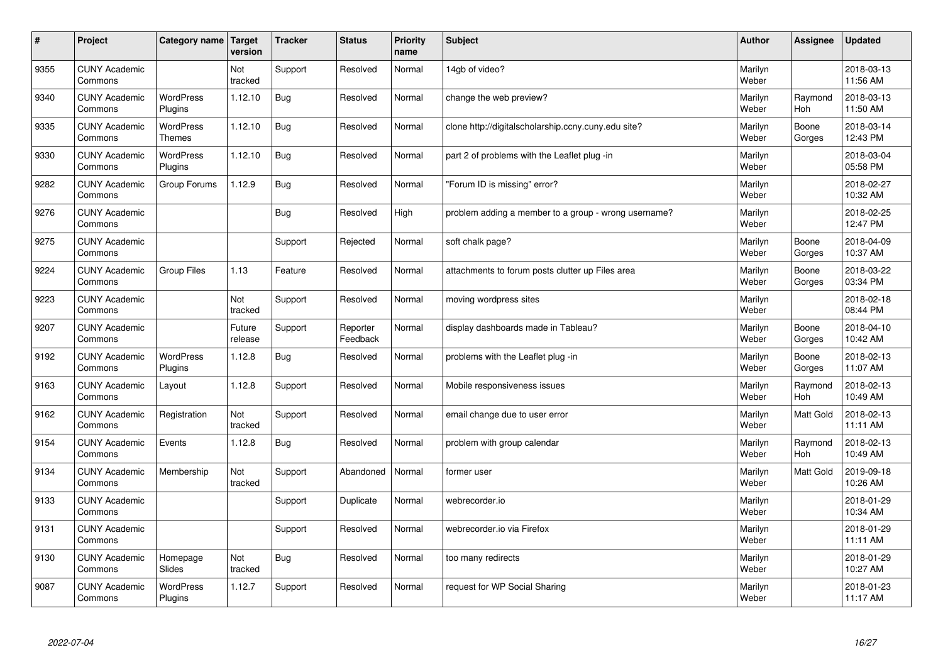| $\sharp$ | Project                         | Category name                     | Target<br>version | <b>Tracker</b> | <b>Status</b>        | <b>Priority</b><br>name | <b>Subject</b>                                       | <b>Author</b>    | <b>Assignee</b>       | <b>Updated</b>         |
|----------|---------------------------------|-----------------------------------|-------------------|----------------|----------------------|-------------------------|------------------------------------------------------|------------------|-----------------------|------------------------|
| 9355     | <b>CUNY Academic</b><br>Commons |                                   | Not<br>tracked    | Support        | Resolved             | Normal                  | 14gb of video?                                       | Marilyn<br>Weber |                       | 2018-03-13<br>11:56 AM |
| 9340     | <b>CUNY Academic</b><br>Commons | <b>WordPress</b><br>Plugins       | 1.12.10           | Bug            | Resolved             | Normal                  | change the web preview?                              | Marilyn<br>Weber | Raymond<br>Hoh        | 2018-03-13<br>11:50 AM |
| 9335     | <b>CUNY Academic</b><br>Commons | <b>WordPress</b><br><b>Themes</b> | 1.12.10           | Bug            | Resolved             | Normal                  | clone http://digitalscholarship.ccny.cuny.edu site?  | Marilyn<br>Weber | Boone<br>Gorges       | 2018-03-14<br>12:43 PM |
| 9330     | <b>CUNY Academic</b><br>Commons | <b>WordPress</b><br>Plugins       | 1.12.10           | Bug            | Resolved             | Normal                  | part 2 of problems with the Leaflet plug -in         | Marilyn<br>Weber |                       | 2018-03-04<br>05:58 PM |
| 9282     | <b>CUNY Academic</b><br>Commons | Group Forums                      | 1.12.9            | Bug            | Resolved             | Normal                  | "Forum ID is missing" error?                         | Marilyn<br>Weber |                       | 2018-02-27<br>10:32 AM |
| 9276     | <b>CUNY Academic</b><br>Commons |                                   |                   | Bug            | Resolved             | High                    | problem adding a member to a group - wrong username? | Marilyn<br>Weber |                       | 2018-02-25<br>12:47 PM |
| 9275     | <b>CUNY Academic</b><br>Commons |                                   |                   | Support        | Rejected             | Normal                  | soft chalk page?                                     | Marilyn<br>Weber | Boone<br>Gorges       | 2018-04-09<br>10:37 AM |
| 9224     | <b>CUNY Academic</b><br>Commons | <b>Group Files</b>                | 1.13              | Feature        | Resolved             | Normal                  | attachments to forum posts clutter up Files area     | Marilyn<br>Weber | Boone<br>Gorges       | 2018-03-22<br>03:34 PM |
| 9223     | <b>CUNY Academic</b><br>Commons |                                   | Not<br>tracked    | Support        | Resolved             | Normal                  | moving wordpress sites                               | Marilyn<br>Weber |                       | 2018-02-18<br>08:44 PM |
| 9207     | <b>CUNY Academic</b><br>Commons |                                   | Future<br>release | Support        | Reporter<br>Feedback | Normal                  | display dashboards made in Tableau?                  | Marilyn<br>Weber | Boone<br>Gorges       | 2018-04-10<br>10:42 AM |
| 9192     | <b>CUNY Academic</b><br>Commons | <b>WordPress</b><br>Plugins       | 1.12.8            | <b>Bug</b>     | Resolved             | Normal                  | problems with the Leaflet plug -in                   | Marilyn<br>Weber | Boone<br>Gorges       | 2018-02-13<br>11:07 AM |
| 9163     | <b>CUNY Academic</b><br>Commons | Layout                            | 1.12.8            | Support        | Resolved             | Normal                  | Mobile responsiveness issues                         | Marilyn<br>Weber | Raymond<br><b>Hoh</b> | 2018-02-13<br>10:49 AM |
| 9162     | <b>CUNY Academic</b><br>Commons | Registration                      | Not<br>tracked    | Support        | Resolved             | Normal                  | email change due to user error                       | Marilyn<br>Weber | Matt Gold             | 2018-02-13<br>11:11 AM |
| 9154     | <b>CUNY Academic</b><br>Commons | Events                            | 1.12.8            | Bug            | Resolved             | Normal                  | problem with group calendar                          | Marilyn<br>Weber | Raymond<br><b>Hoh</b> | 2018-02-13<br>10:49 AM |
| 9134     | <b>CUNY Academic</b><br>Commons | Membership                        | Not<br>tracked    | Support        | Abandoned            | Normal                  | former user                                          | Marilyn<br>Weber | <b>Matt Gold</b>      | 2019-09-18<br>10:26 AM |
| 9133     | <b>CUNY Academic</b><br>Commons |                                   |                   | Support        | Duplicate            | Normal                  | webrecorder.io                                       | Marilyn<br>Weber |                       | 2018-01-29<br>10:34 AM |
| 9131     | <b>CUNY Academic</b><br>Commons |                                   |                   | Support        | Resolved             | Normal                  | webrecorder.io via Firefox                           | Marilyn<br>Weber |                       | 2018-01-29<br>11:11 AM |
| 9130     | <b>CUNY Academic</b><br>Commons | Homepage<br>Slides                | Not<br>tracked    | Bug            | Resolved             | Normal                  | too many redirects                                   | Marilyn<br>Weber |                       | 2018-01-29<br>10:27 AM |
| 9087     | <b>CUNY Academic</b><br>Commons | <b>WordPress</b><br>Plugins       | 1.12.7            | Support        | Resolved             | Normal                  | request for WP Social Sharing                        | Marilyn<br>Weber |                       | 2018-01-23<br>11:17 AM |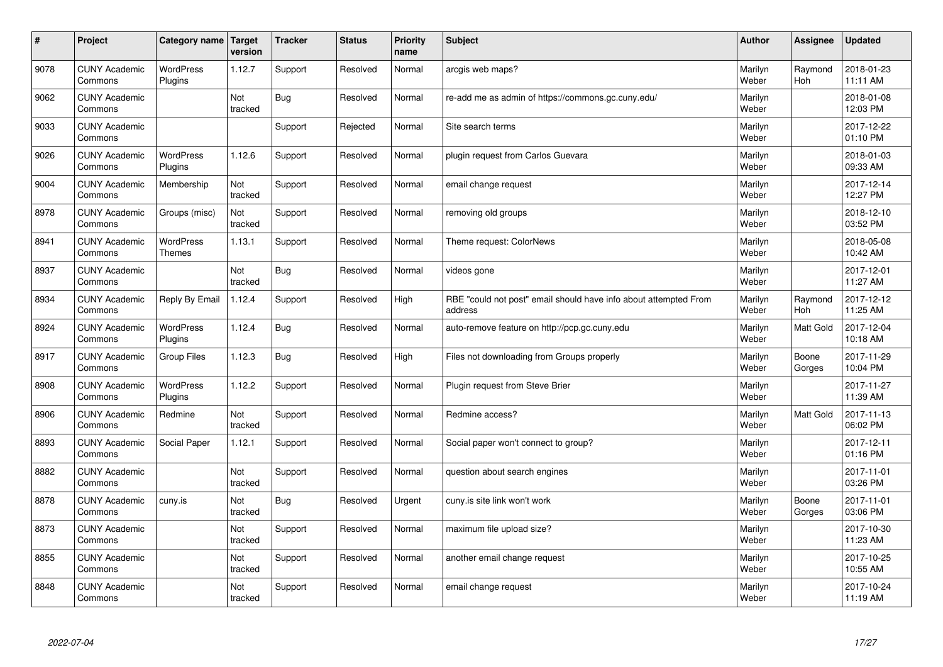| $\sharp$ | Project                         | Category name Target        | version        | <b>Tracker</b> | <b>Status</b> | <b>Priority</b><br>name | <b>Subject</b>                                                              | <b>Author</b>    | Assignee              | Updated                |
|----------|---------------------------------|-----------------------------|----------------|----------------|---------------|-------------------------|-----------------------------------------------------------------------------|------------------|-----------------------|------------------------|
| 9078     | <b>CUNY Academic</b><br>Commons | <b>WordPress</b><br>Plugins | 1.12.7         | Support        | Resolved      | Normal                  | arcgis web maps?                                                            | Marilyn<br>Weber | Raymond<br><b>Hoh</b> | 2018-01-23<br>11:11 AM |
| 9062     | <b>CUNY Academic</b><br>Commons |                             | Not<br>tracked | Bug            | Resolved      | Normal                  | re-add me as admin of https://commons.gc.cuny.edu/                          | Marilyn<br>Weber |                       | 2018-01-08<br>12:03 PM |
| 9033     | <b>CUNY Academic</b><br>Commons |                             |                | Support        | Rejected      | Normal                  | Site search terms                                                           | Marilyn<br>Weber |                       | 2017-12-22<br>01:10 PM |
| 9026     | <b>CUNY Academic</b><br>Commons | <b>WordPress</b><br>Plugins | 1.12.6         | Support        | Resolved      | Normal                  | plugin request from Carlos Guevara                                          | Marilyn<br>Weber |                       | 2018-01-03<br>09:33 AM |
| 9004     | <b>CUNY Academic</b><br>Commons | Membership                  | Not<br>tracked | Support        | Resolved      | Normal                  | email change request                                                        | Marilyn<br>Weber |                       | 2017-12-14<br>12:27 PM |
| 8978     | <b>CUNY Academic</b><br>Commons | Groups (misc)               | Not<br>tracked | Support        | Resolved      | Normal                  | removing old groups                                                         | Marilyn<br>Weber |                       | 2018-12-10<br>03:52 PM |
| 8941     | <b>CUNY Academic</b><br>Commons | WordPress<br><b>Themes</b>  | 1.13.1         | Support        | Resolved      | Normal                  | Theme request: ColorNews                                                    | Marilyn<br>Weber |                       | 2018-05-08<br>10:42 AM |
| 8937     | <b>CUNY Academic</b><br>Commons |                             | Not<br>tracked | <b>Bug</b>     | Resolved      | Normal                  | videos gone                                                                 | Marilyn<br>Weber |                       | 2017-12-01<br>11:27 AM |
| 8934     | <b>CUNY Academic</b><br>Commons | Reply By Email              | 1.12.4         | Support        | Resolved      | High                    | RBE "could not post" email should have info about attempted From<br>address | Marilyn<br>Weber | Raymond<br>Hoh        | 2017-12-12<br>11:25 AM |
| 8924     | <b>CUNY Academic</b><br>Commons | <b>WordPress</b><br>Plugins | 1.12.4         | Bug            | Resolved      | Normal                  | auto-remove feature on http://pcp.gc.cuny.edu                               | Marilyn<br>Weber | <b>Matt Gold</b>      | 2017-12-04<br>10:18 AM |
| 8917     | <b>CUNY Academic</b><br>Commons | Group Files                 | 1.12.3         | Bug            | Resolved      | High                    | Files not downloading from Groups properly                                  | Marilyn<br>Weber | Boone<br>Gorges       | 2017-11-29<br>10:04 PM |
| 8908     | <b>CUNY Academic</b><br>Commons | WordPress<br>Plugins        | 1.12.2         | Support        | Resolved      | Normal                  | Plugin request from Steve Brier                                             | Marilyn<br>Weber |                       | 2017-11-27<br>11:39 AM |
| 8906     | <b>CUNY Academic</b><br>Commons | Redmine                     | Not<br>tracked | Support        | Resolved      | Normal                  | Redmine access?                                                             | Marilyn<br>Weber | <b>Matt Gold</b>      | 2017-11-13<br>06:02 PM |
| 8893     | <b>CUNY Academic</b><br>Commons | Social Paper                | 1.12.1         | Support        | Resolved      | Normal                  | Social paper won't connect to group?                                        | Marilyn<br>Weber |                       | 2017-12-11<br>01:16 PM |
| 8882     | <b>CUNY Academic</b><br>Commons |                             | Not<br>tracked | Support        | Resolved      | Normal                  | question about search engines                                               | Marilyn<br>Weber |                       | 2017-11-01<br>03:26 PM |
| 8878     | <b>CUNY Academic</b><br>Commons | cuny.is                     | Not<br>tracked | Bug            | Resolved      | Urgent                  | cuny is site link won't work                                                | Marilyn<br>Weber | Boone<br>Gorges       | 2017-11-01<br>03:06 PM |
| 8873     | <b>CUNY Academic</b><br>Commons |                             | Not<br>tracked | Support        | Resolved      | Normal                  | maximum file upload size?                                                   | Marilyn<br>Weber |                       | 2017-10-30<br>11:23 AM |
| 8855     | <b>CUNY Academic</b><br>Commons |                             | Not<br>tracked | Support        | Resolved      | Normal                  | another email change request                                                | Marilyn<br>Weber |                       | 2017-10-25<br>10:55 AM |
| 8848     | <b>CUNY Academic</b><br>Commons |                             | Not<br>tracked | Support        | Resolved      | Normal                  | email change request                                                        | Marilyn<br>Weber |                       | 2017-10-24<br>11:19 AM |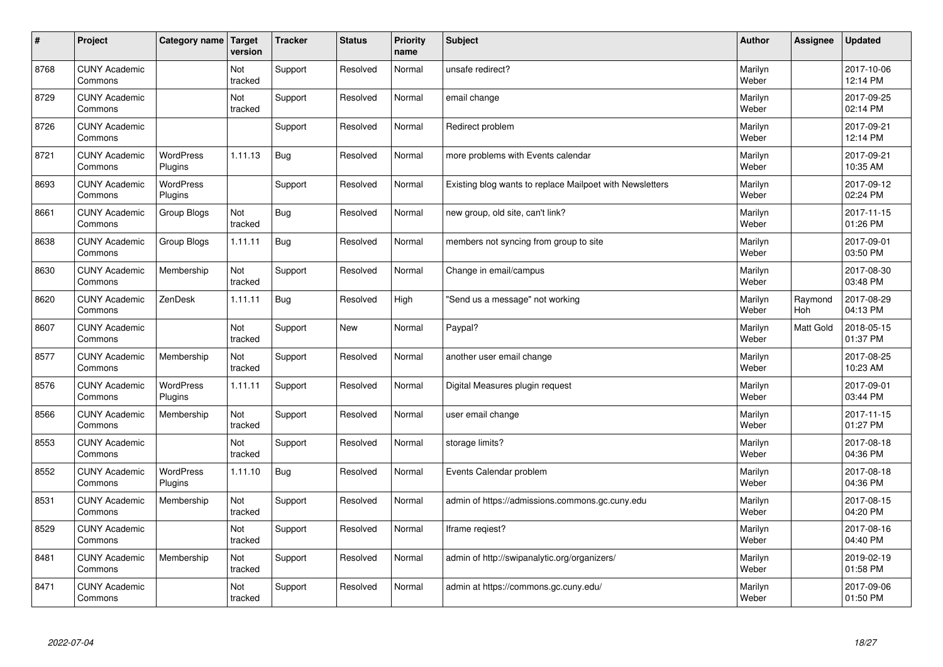| $\vert$ # | Project                         | Category name   Target      | version        | <b>Tracker</b> | <b>Status</b> | <b>Priority</b><br>name | <b>Subject</b>                                           | <b>Author</b>    | Assignee       | <b>Updated</b>         |
|-----------|---------------------------------|-----------------------------|----------------|----------------|---------------|-------------------------|----------------------------------------------------------|------------------|----------------|------------------------|
| 8768      | <b>CUNY Academic</b><br>Commons |                             | Not<br>tracked | Support        | Resolved      | Normal                  | unsafe redirect?                                         | Marilyn<br>Weber |                | 2017-10-06<br>12:14 PM |
| 8729      | <b>CUNY Academic</b><br>Commons |                             | Not<br>tracked | Support        | Resolved      | Normal                  | email change                                             | Marilyn<br>Weber |                | 2017-09-25<br>02:14 PM |
| 8726      | <b>CUNY Academic</b><br>Commons |                             |                | Support        | Resolved      | Normal                  | Redirect problem                                         | Marilyn<br>Weber |                | 2017-09-21<br>12:14 PM |
| 8721      | <b>CUNY Academic</b><br>Commons | <b>WordPress</b><br>Plugins | 1.11.13        | <b>Bug</b>     | Resolved      | Normal                  | more problems with Events calendar                       | Marilyn<br>Weber |                | 2017-09-21<br>10:35 AM |
| 8693      | <b>CUNY Academic</b><br>Commons | WordPress<br>Plugins        |                | Support        | Resolved      | Normal                  | Existing blog wants to replace Mailpoet with Newsletters | Marilyn<br>Weber |                | 2017-09-12<br>02:24 PM |
| 8661      | <b>CUNY Academic</b><br>Commons | Group Blogs                 | Not<br>tracked | <b>Bug</b>     | Resolved      | Normal                  | new group, old site, can't link?                         | Marilyn<br>Weber |                | 2017-11-15<br>01:26 PM |
| 8638      | <b>CUNY Academic</b><br>Commons | Group Blogs                 | 1.11.11        | Bug            | Resolved      | Normal                  | members not syncing from group to site                   | Marilyn<br>Weber |                | 2017-09-01<br>03:50 PM |
| 8630      | <b>CUNY Academic</b><br>Commons | Membership                  | Not<br>tracked | Support        | Resolved      | Normal                  | Change in email/campus                                   | Marilyn<br>Weber |                | 2017-08-30<br>03:48 PM |
| 8620      | <b>CUNY Academic</b><br>Commons | ZenDesk                     | 1.11.11        | Bug            | Resolved      | High                    | 'Send us a message" not working                          | Marilyn<br>Weber | Raymond<br>Hoh | 2017-08-29<br>04:13 PM |
| 8607      | <b>CUNY Academic</b><br>Commons |                             | Not<br>tracked | Support        | <b>New</b>    | Normal                  | Paypal?                                                  | Marilyn<br>Weber | Matt Gold      | 2018-05-15<br>01:37 PM |
| 8577      | <b>CUNY Academic</b><br>Commons | Membership                  | Not<br>tracked | Support        | Resolved      | Normal                  | another user email change                                | Marilyn<br>Weber |                | 2017-08-25<br>10:23 AM |
| 8576      | <b>CUNY Academic</b><br>Commons | WordPress<br>Plugins        | 1.11.11        | Support        | Resolved      | Normal                  | Digital Measures plugin request                          | Marilyn<br>Weber |                | 2017-09-01<br>03:44 PM |
| 8566      | <b>CUNY Academic</b><br>Commons | Membership                  | Not<br>tracked | Support        | Resolved      | Normal                  | user email change                                        | Marilyn<br>Weber |                | 2017-11-15<br>01:27 PM |
| 8553      | <b>CUNY Academic</b><br>Commons |                             | Not<br>tracked | Support        | Resolved      | Normal                  | storage limits?                                          | Marilyn<br>Weber |                | 2017-08-18<br>04:36 PM |
| 8552      | <b>CUNY Academic</b><br>Commons | WordPress<br>Plugins        | 1.11.10        | <b>Bug</b>     | Resolved      | Normal                  | Events Calendar problem                                  | Marilyn<br>Weber |                | 2017-08-18<br>04:36 PM |
| 8531      | <b>CUNY Academic</b><br>Commons | Membership                  | Not<br>tracked | Support        | Resolved      | Normal                  | admin of https://admissions.commons.gc.cuny.edu          | Marilyn<br>Weber |                | 2017-08-15<br>04:20 PM |
| 8529      | <b>CUNY Academic</b><br>Commons |                             | Not<br>tracked | Support        | Resolved      | Normal                  | Iframe regiest?                                          | Marilyn<br>Weber |                | 2017-08-16<br>04:40 PM |
| 8481      | <b>CUNY Academic</b><br>Commons | Membership                  | Not<br>tracked | Support        | Resolved      | Normal                  | admin of http://swipanalytic.org/organizers/             | Marilyn<br>Weber |                | 2019-02-19<br>01:58 PM |
| 8471      | <b>CUNY Academic</b><br>Commons |                             | Not<br>tracked | Support        | Resolved      | Normal                  | admin at https://commons.gc.cuny.edu/                    | Marilyn<br>Weber |                | 2017-09-06<br>01:50 PM |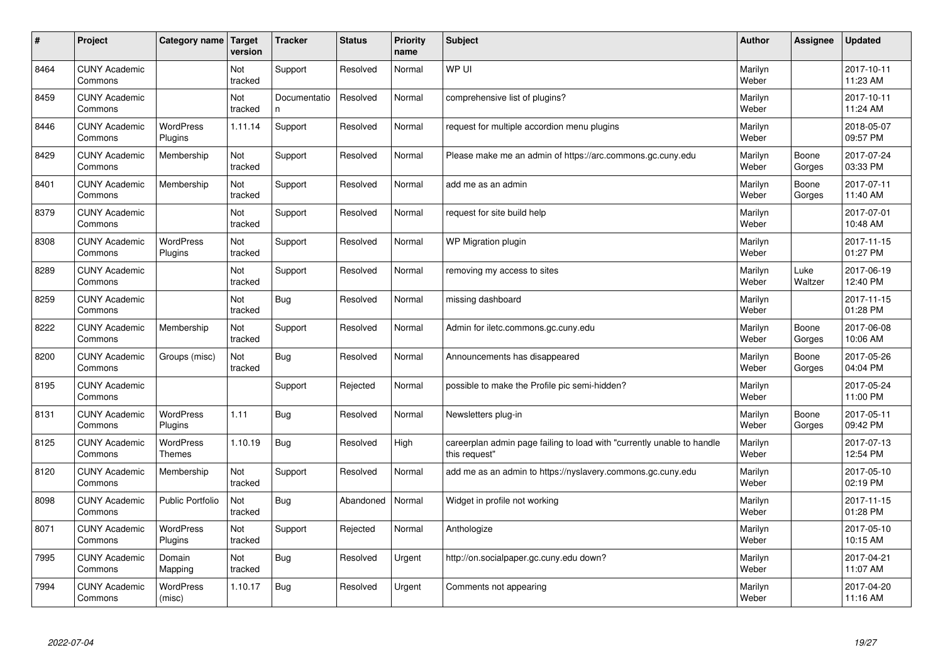| #    | Project                         | Category name               | Target<br>version | <b>Tracker</b>     | <b>Status</b> | <b>Priority</b><br>name | <b>Subject</b>                                                                          | <b>Author</b>    | Assignee        | <b>Updated</b>         |
|------|---------------------------------|-----------------------------|-------------------|--------------------|---------------|-------------------------|-----------------------------------------------------------------------------------------|------------------|-----------------|------------------------|
| 8464 | <b>CUNY Academic</b><br>Commons |                             | Not<br>tracked    | Support            | Resolved      | Normal                  | WP UI                                                                                   | Marilyn<br>Weber |                 | 2017-10-11<br>11:23 AM |
| 8459 | <b>CUNY Academic</b><br>Commons |                             | Not<br>tracked    | Documentatio<br>n. | Resolved      | Normal                  | comprehensive list of plugins?                                                          | Marilyn<br>Weber |                 | 2017-10-11<br>11:24 AM |
| 8446 | <b>CUNY Academic</b><br>Commons | <b>WordPress</b><br>Plugins | 1.11.14           | Support            | Resolved      | Normal                  | request for multiple accordion menu plugins                                             | Marilyn<br>Weber |                 | 2018-05-07<br>09:57 PM |
| 8429 | <b>CUNY Academic</b><br>Commons | Membership                  | Not<br>tracked    | Support            | Resolved      | Normal                  | Please make me an admin of https://arc.commons.gc.cuny.edu                              | Marilyn<br>Weber | Boone<br>Gorges | 2017-07-24<br>03:33 PM |
| 8401 | <b>CUNY Academic</b><br>Commons | Membership                  | Not<br>tracked    | Support            | Resolved      | Normal                  | add me as an admin                                                                      | Marilyn<br>Weber | Boone<br>Gorges | 2017-07-11<br>11:40 AM |
| 8379 | <b>CUNY Academic</b><br>Commons |                             | Not<br>tracked    | Support            | Resolved      | Normal                  | request for site build help                                                             | Marilyn<br>Weber |                 | 2017-07-01<br>10:48 AM |
| 8308 | <b>CUNY Academic</b><br>Commons | WordPress<br>Plugins        | Not<br>tracked    | Support            | Resolved      | Normal                  | WP Migration plugin                                                                     | Marilyn<br>Weber |                 | 2017-11-15<br>01:27 PM |
| 8289 | <b>CUNY Academic</b><br>Commons |                             | Not<br>tracked    | Support            | Resolved      | Normal                  | removing my access to sites                                                             | Marilyn<br>Weber | Luke<br>Waltzer | 2017-06-19<br>12:40 PM |
| 8259 | <b>CUNY Academic</b><br>Commons |                             | Not<br>tracked    | Bug                | Resolved      | Normal                  | missing dashboard                                                                       | Marilyn<br>Weber |                 | 2017-11-15<br>01:28 PM |
| 8222 | <b>CUNY Academic</b><br>Commons | Membership                  | Not<br>tracked    | Support            | Resolved      | Normal                  | Admin for iletc.commons.gc.cuny.edu                                                     | Marilyn<br>Weber | Boone<br>Gorges | 2017-06-08<br>10:06 AM |
| 8200 | <b>CUNY Academic</b><br>Commons | Groups (misc)               | Not<br>tracked    | Bug                | Resolved      | Normal                  | Announcements has disappeared                                                           | Marilyn<br>Weber | Boone<br>Gorges | 2017-05-26<br>04:04 PM |
| 8195 | <b>CUNY Academic</b><br>Commons |                             |                   | Support            | Rejected      | Normal                  | possible to make the Profile pic semi-hidden?                                           | Marilyn<br>Weber |                 | 2017-05-24<br>11:00 PM |
| 8131 | <b>CUNY Academic</b><br>Commons | <b>WordPress</b><br>Plugins | 1.11              | Bug                | Resolved      | Normal                  | Newsletters plug-in                                                                     | Marilyn<br>Weber | Boone<br>Gorges | 2017-05-11<br>09:42 PM |
| 8125 | <b>CUNY Academic</b><br>Commons | WordPress<br><b>Themes</b>  | 1.10.19           | Bug                | Resolved      | High                    | careerplan admin page failing to load with "currently unable to handle<br>this request" | Marilyn<br>Weber |                 | 2017-07-13<br>12:54 PM |
| 8120 | <b>CUNY Academic</b><br>Commons | Membership                  | Not<br>tracked    | Support            | Resolved      | Normal                  | add me as an admin to https://nyslavery.commons.gc.cuny.edu                             | Marilyn<br>Weber |                 | 2017-05-10<br>02:19 PM |
| 8098 | <b>CUNY Academic</b><br>Commons | <b>Public Portfolio</b>     | Not<br>tracked    | Bug                | Abandoned     | Normal                  | Widget in profile not working                                                           | Marilyn<br>Weber |                 | 2017-11-15<br>01:28 PM |
| 8071 | <b>CUNY Academic</b><br>Commons | <b>WordPress</b><br>Plugins | Not<br>tracked    | Support            | Rejected      | Normal                  | Anthologize                                                                             | Marilyn<br>Weber |                 | 2017-05-10<br>10:15 AM |
| 7995 | <b>CUNY Academic</b><br>Commons | Domain<br>Mapping           | Not<br>tracked    | Bug                | Resolved      | Urgent                  | http://on.socialpaper.gc.cuny.edu down?                                                 | Marilyn<br>Weber |                 | 2017-04-21<br>11:07 AM |
| 7994 | <b>CUNY Academic</b><br>Commons | <b>WordPress</b><br>(misc)  | 1.10.17           | Bug                | Resolved      | Urgent                  | Comments not appearing                                                                  | Marilyn<br>Weber |                 | 2017-04-20<br>11:16 AM |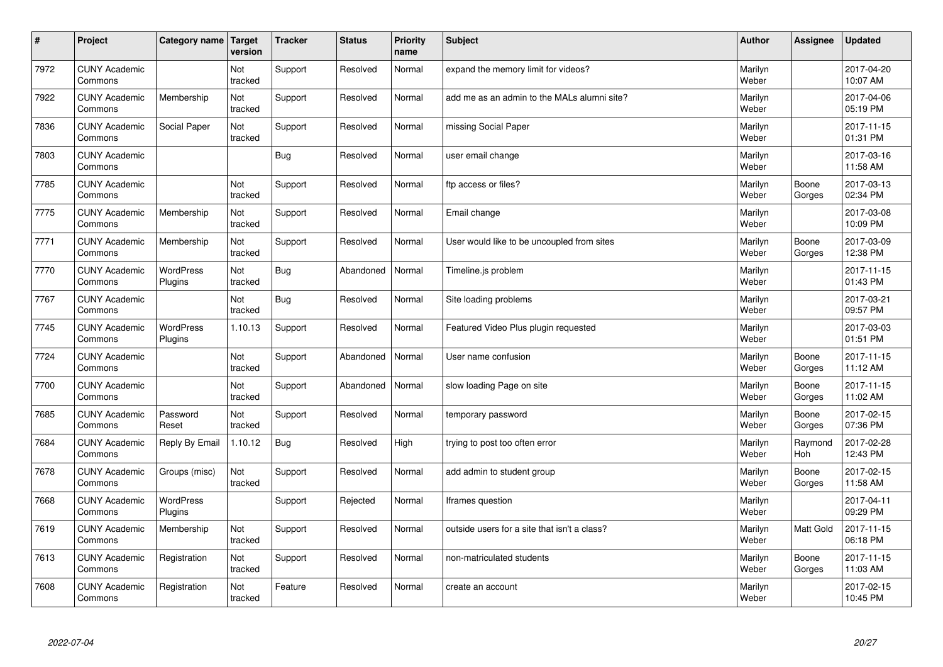| #    | Project                         | Category name   Target      | version        | <b>Tracker</b> | <b>Status</b> | <b>Priority</b><br>name | <b>Subject</b>                               | <b>Author</b>    | Assignee              | <b>Updated</b>         |
|------|---------------------------------|-----------------------------|----------------|----------------|---------------|-------------------------|----------------------------------------------|------------------|-----------------------|------------------------|
| 7972 | <b>CUNY Academic</b><br>Commons |                             | Not<br>tracked | Support        | Resolved      | Normal                  | expand the memory limit for videos?          | Marilyn<br>Weber |                       | 2017-04-20<br>10:07 AM |
| 7922 | <b>CUNY Academic</b><br>Commons | Membership                  | Not<br>tracked | Support        | Resolved      | Normal                  | add me as an admin to the MALs alumni site?  | Marilyn<br>Weber |                       | 2017-04-06<br>05:19 PM |
| 7836 | <b>CUNY Academic</b><br>Commons | Social Paper                | Not<br>tracked | Support        | Resolved      | Normal                  | missing Social Paper                         | Marilyn<br>Weber |                       | 2017-11-15<br>01:31 PM |
| 7803 | <b>CUNY Academic</b><br>Commons |                             |                | Bug            | Resolved      | Normal                  | user email change                            | Marilyn<br>Weber |                       | 2017-03-16<br>11:58 AM |
| 7785 | <b>CUNY Academic</b><br>Commons |                             | Not<br>tracked | Support        | Resolved      | Normal                  | ftp access or files?                         | Marilyn<br>Weber | Boone<br>Gorges       | 2017-03-13<br>02:34 PM |
| 7775 | <b>CUNY Academic</b><br>Commons | Membership                  | Not<br>tracked | Support        | Resolved      | Normal                  | Email change                                 | Marilyn<br>Weber |                       | 2017-03-08<br>10:09 PM |
| 7771 | <b>CUNY Academic</b><br>Commons | Membership                  | Not<br>tracked | Support        | Resolved      | Normal                  | User would like to be uncoupled from sites   | Marilyn<br>Weber | Boone<br>Gorges       | 2017-03-09<br>12:38 PM |
| 7770 | <b>CUNY Academic</b><br>Commons | WordPress<br>Plugins        | Not<br>tracked | Bug            | Abandoned     | Normal                  | Timeline.js problem                          | Marilyn<br>Weber |                       | 2017-11-15<br>01:43 PM |
| 7767 | <b>CUNY Academic</b><br>Commons |                             | Not<br>tracked | Bug            | Resolved      | Normal                  | Site loading problems                        | Marilyn<br>Weber |                       | 2017-03-21<br>09:57 PM |
| 7745 | <b>CUNY Academic</b><br>Commons | <b>WordPress</b><br>Plugins | 1.10.13        | Support        | Resolved      | Normal                  | Featured Video Plus plugin requested         | Marilyn<br>Weber |                       | 2017-03-03<br>01:51 PM |
| 7724 | <b>CUNY Academic</b><br>Commons |                             | Not<br>tracked | Support        | Abandoned     | Normal                  | User name confusion                          | Marilyn<br>Weber | Boone<br>Gorges       | 2017-11-15<br>11:12 AM |
| 7700 | <b>CUNY Academic</b><br>Commons |                             | Not<br>tracked | Support        | Abandoned     | Normal                  | slow loading Page on site                    | Marilyn<br>Weber | Boone<br>Gorges       | 2017-11-15<br>11:02 AM |
| 7685 | <b>CUNY Academic</b><br>Commons | Password<br>Reset           | Not<br>tracked | Support        | Resolved      | Normal                  | temporary password                           | Marilyn<br>Weber | Boone<br>Gorges       | 2017-02-15<br>07:36 PM |
| 7684 | <b>CUNY Academic</b><br>Commons | Reply By Email              | 1.10.12        | Bug            | Resolved      | High                    | trying to post too often error               | Marilyn<br>Weber | Raymond<br><b>Hoh</b> | 2017-02-28<br>12:43 PM |
| 7678 | <b>CUNY Academic</b><br>Commons | Groups (misc)               | Not<br>tracked | Support        | Resolved      | Normal                  | add admin to student group                   | Marilyn<br>Weber | Boone<br>Gorges       | 2017-02-15<br>11:58 AM |
| 7668 | <b>CUNY Academic</b><br>Commons | WordPress<br>Plugins        |                | Support        | Rejected      | Normal                  | Iframes question                             | Marilyn<br>Weber |                       | 2017-04-11<br>09:29 PM |
| 7619 | <b>CUNY Academic</b><br>Commons | Membership                  | Not<br>tracked | Support        | Resolved      | Normal                  | outside users for a site that isn't a class? | Marilyn<br>Weber | <b>Matt Gold</b>      | 2017-11-15<br>06:18 PM |
| 7613 | <b>CUNY Academic</b><br>Commons | Registration                | Not<br>tracked | Support        | Resolved      | Normal                  | non-matriculated students                    | Marilyn<br>Weber | Boone<br>Gorges       | 2017-11-15<br>11:03 AM |
| 7608 | <b>CUNY Academic</b><br>Commons | Registration                | Not<br>tracked | Feature        | Resolved      | Normal                  | create an account                            | Marilyn<br>Weber |                       | 2017-02-15<br>10:45 PM |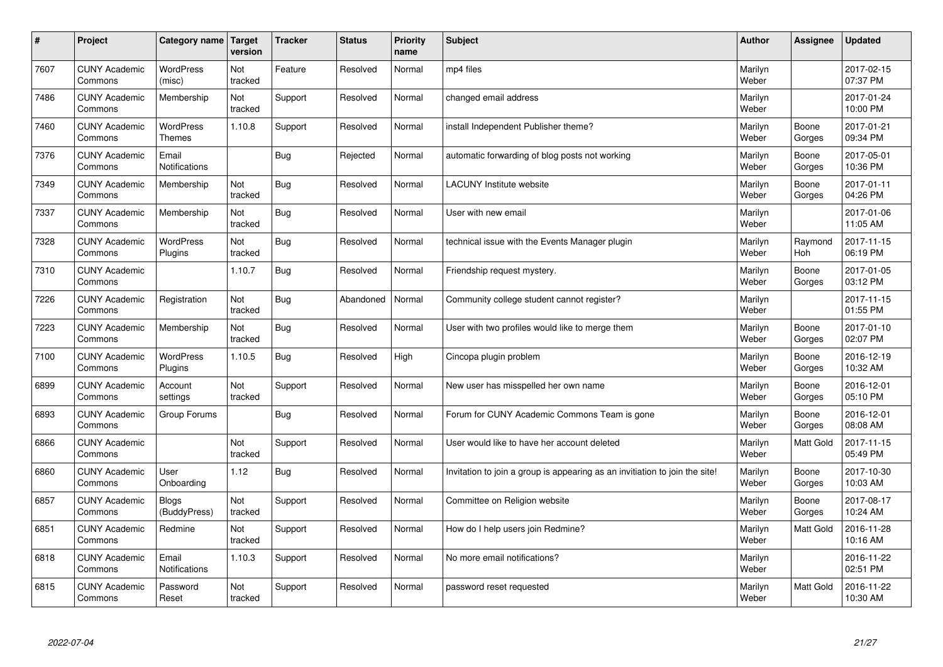| $\sharp$ | Project                         | Category name                     | Target<br>version | <b>Tracker</b> | <b>Status</b> | <b>Priority</b><br>name | <b>Subject</b>                                                              | <b>Author</b>    | Assignee         | Updated                |
|----------|---------------------------------|-----------------------------------|-------------------|----------------|---------------|-------------------------|-----------------------------------------------------------------------------|------------------|------------------|------------------------|
| 7607     | <b>CUNY Academic</b><br>Commons | <b>WordPress</b><br>(misc)        | Not<br>tracked    | Feature        | Resolved      | Normal                  | mp4 files                                                                   | Marilyn<br>Weber |                  | 2017-02-15<br>07:37 PM |
| 7486     | <b>CUNY Academic</b><br>Commons | Membership                        | Not<br>tracked    | Support        | Resolved      | Normal                  | changed email address                                                       | Marilyn<br>Weber |                  | 2017-01-24<br>10:00 PM |
| 7460     | <b>CUNY Academic</b><br>Commons | <b>WordPress</b><br><b>Themes</b> | 1.10.8            | Support        | Resolved      | Normal                  | install Independent Publisher theme?                                        | Marilyn<br>Weber | Boone<br>Gorges  | 2017-01-21<br>09:34 PM |
| 7376     | <b>CUNY Academic</b><br>Commons | Email<br>Notifications            |                   | Bug            | Rejected      | Normal                  | automatic forwarding of blog posts not working                              | Marilyn<br>Weber | Boone<br>Gorges  | 2017-05-01<br>10:36 PM |
| 7349     | <b>CUNY Academic</b><br>Commons | Membership                        | Not<br>tracked    | Bug            | Resolved      | Normal                  | <b>LACUNY</b> Institute website                                             | Marilyn<br>Weber | Boone<br>Gorges  | 2017-01-11<br>04:26 PM |
| 7337     | <b>CUNY Academic</b><br>Commons | Membership                        | Not<br>tracked    | Bug            | Resolved      | Normal                  | User with new email                                                         | Marilyn<br>Weber |                  | 2017-01-06<br>11:05 AM |
| 7328     | <b>CUNY Academic</b><br>Commons | <b>WordPress</b><br>Plugins       | Not<br>tracked    | Bug            | Resolved      | Normal                  | technical issue with the Events Manager plugin                              | Marilyn<br>Weber | Raymond<br>Hoh   | 2017-11-15<br>06:19 PM |
| 7310     | <b>CUNY Academic</b><br>Commons |                                   | 1.10.7            | Bug            | Resolved      | Normal                  | Friendship request mystery.                                                 | Marilyn<br>Weber | Boone<br>Gorges  | 2017-01-05<br>03:12 PM |
| 7226     | <b>CUNY Academic</b><br>Commons | Registration                      | Not<br>tracked    | Bug            | Abandoned     | Normal                  | Community college student cannot register?                                  | Marilyn<br>Weber |                  | 2017-11-15<br>01:55 PM |
| 7223     | <b>CUNY Academic</b><br>Commons | Membership                        | Not<br>tracked    | Bug            | Resolved      | Normal                  | User with two profiles would like to merge them                             | Marilyn<br>Weber | Boone<br>Gorges  | 2017-01-10<br>02:07 PM |
| 7100     | <b>CUNY Academic</b><br>Commons | <b>WordPress</b><br>Plugins       | 1.10.5            | Bug            | Resolved      | High                    | Cincopa plugin problem                                                      | Marilyn<br>Weber | Boone<br>Gorges  | 2016-12-19<br>10:32 AM |
| 6899     | <b>CUNY Academic</b><br>Commons | Account<br>settings               | Not<br>tracked    | Support        | Resolved      | Normal                  | New user has misspelled her own name                                        | Marilyn<br>Weber | Boone<br>Gorges  | 2016-12-01<br>05:10 PM |
| 6893     | <b>CUNY Academic</b><br>Commons | Group Forums                      |                   | Bug            | Resolved      | Normal                  | Forum for CUNY Academic Commons Team is gone                                | Marilyn<br>Weber | Boone<br>Gorges  | 2016-12-01<br>08:08 AM |
| 6866     | <b>CUNY Academic</b><br>Commons |                                   | Not<br>tracked    | Support        | Resolved      | Normal                  | User would like to have her account deleted                                 | Marilyn<br>Weber | <b>Matt Gold</b> | 2017-11-15<br>05:49 PM |
| 6860     | <b>CUNY Academic</b><br>Commons | User<br>Onboarding                | 1.12              | Bug            | Resolved      | Normal                  | Invitation to join a group is appearing as an invitiation to join the site! | Marilyn<br>Weber | Boone<br>Gorges  | 2017-10-30<br>10:03 AM |
| 6857     | <b>CUNY Academic</b><br>Commons | <b>Blogs</b><br>(BuddyPress)      | Not<br>tracked    | Support        | Resolved      | Normal                  | Committee on Religion website                                               | Marilyn<br>Weber | Boone<br>Gorges  | 2017-08-17<br>10:24 AM |
| 6851     | <b>CUNY Academic</b><br>Commons | Redmine                           | Not<br>tracked    | Support        | Resolved      | Normal                  | How do I help users join Redmine?                                           | Marilyn<br>Weber | <b>Matt Gold</b> | 2016-11-28<br>10:16 AM |
| 6818     | <b>CUNY Academic</b><br>Commons | Email<br>Notifications            | 1.10.3            | Support        | Resolved      | Normal                  | No more email notifications?                                                | Marilyn<br>Weber |                  | 2016-11-22<br>02:51 PM |
| 6815     | <b>CUNY Academic</b><br>Commons | Password<br>Reset                 | Not<br>tracked    | Support        | Resolved      | Normal                  | password reset requested                                                    | Marilyn<br>Weber | <b>Matt Gold</b> | 2016-11-22<br>10:30 AM |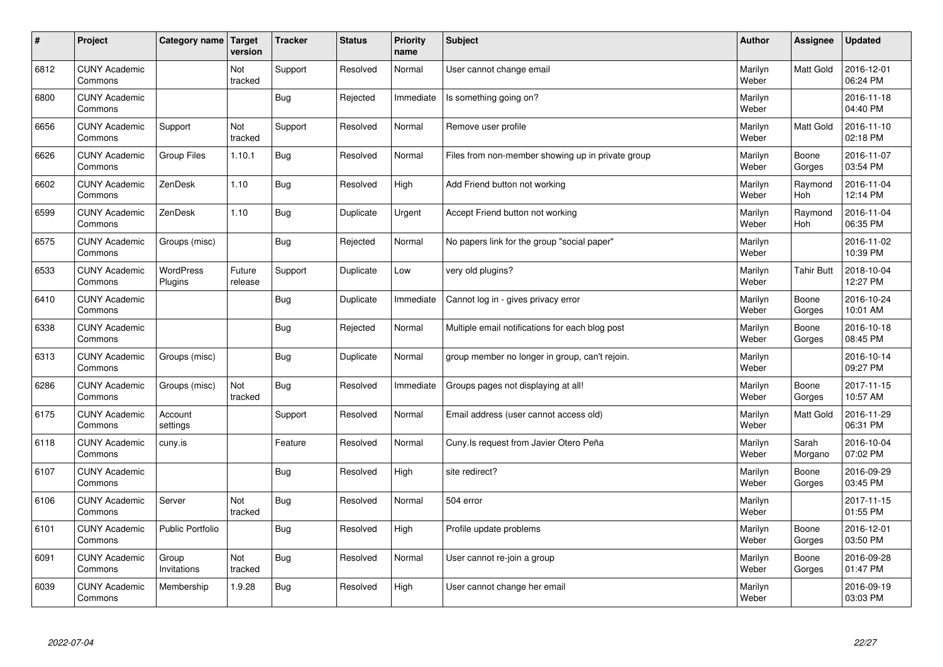| $\sharp$ | Project                         | Category name Target    | version           | <b>Tracker</b> | <b>Status</b> | <b>Priority</b><br>name | <b>Subject</b>                                    | <b>Author</b>    | Assignee          | <b>Updated</b>         |
|----------|---------------------------------|-------------------------|-------------------|----------------|---------------|-------------------------|---------------------------------------------------|------------------|-------------------|------------------------|
| 6812     | <b>CUNY Academic</b><br>Commons |                         | Not<br>tracked    | Support        | Resolved      | Normal                  | User cannot change email                          | Marilyn<br>Weber | <b>Matt Gold</b>  | 2016-12-01<br>06:24 PM |
| 6800     | <b>CUNY Academic</b><br>Commons |                         |                   | Bug            | Rejected      | Immediate               | Is something going on?                            | Marilyn<br>Weber |                   | 2016-11-18<br>04:40 PM |
| 6656     | <b>CUNY Academic</b><br>Commons | Support                 | Not<br>tracked    | Support        | Resolved      | Normal                  | Remove user profile                               | Marilyn<br>Weber | <b>Matt Gold</b>  | 2016-11-10<br>02:18 PM |
| 6626     | <b>CUNY Academic</b><br>Commons | <b>Group Files</b>      | 1.10.1            | <b>Bug</b>     | Resolved      | Normal                  | Files from non-member showing up in private group | Marilyn<br>Weber | Boone<br>Gorges   | 2016-11-07<br>03:54 PM |
| 6602     | <b>CUNY Academic</b><br>Commons | ZenDesk                 | 1.10              | Bug            | Resolved      | High                    | Add Friend button not working                     | Marilyn<br>Weber | Raymond<br>Hoh    | 2016-11-04<br>12:14 PM |
| 6599     | <b>CUNY Academic</b><br>Commons | ZenDesk                 | 1.10              | Bug            | Duplicate     | Urgent                  | Accept Friend button not working                  | Marilyn<br>Weber | Raymond<br>Hoh    | 2016-11-04<br>06:35 PM |
| 6575     | <b>CUNY Academic</b><br>Commons | Groups (misc)           |                   | Bug            | Rejected      | Normal                  | No papers link for the group "social paper"       | Marilyn<br>Weber |                   | 2016-11-02<br>10:39 PM |
| 6533     | <b>CUNY Academic</b><br>Commons | WordPress<br>Plugins    | Future<br>release | Support        | Duplicate     | Low                     | very old plugins?                                 | Marilyn<br>Weber | <b>Tahir Butt</b> | 2018-10-04<br>12:27 PM |
| 6410     | <b>CUNY Academic</b><br>Commons |                         |                   | Bug            | Duplicate     | Immediate               | Cannot log in - gives privacy error               | Marilyn<br>Weber | Boone<br>Gorges   | 2016-10-24<br>10:01 AM |
| 6338     | <b>CUNY Academic</b><br>Commons |                         |                   | Bug            | Rejected      | Normal                  | Multiple email notifications for each blog post   | Marilyn<br>Weber | Boone<br>Gorges   | 2016-10-18<br>08:45 PM |
| 6313     | <b>CUNY Academic</b><br>Commons | Groups (misc)           |                   | <b>Bug</b>     | Duplicate     | Normal                  | group member no longer in group, can't rejoin.    | Marilyn<br>Weber |                   | 2016-10-14<br>09:27 PM |
| 6286     | <b>CUNY Academic</b><br>Commons | Groups (misc)           | Not<br>tracked    | Bug            | Resolved      | Immediate               | Groups pages not displaying at all!               | Marilyn<br>Weber | Boone<br>Gorges   | 2017-11-15<br>10:57 AM |
| 6175     | <b>CUNY Academic</b><br>Commons | Account<br>settings     |                   | Support        | Resolved      | Normal                  | Email address (user cannot access old)            | Marilyn<br>Weber | <b>Matt Gold</b>  | 2016-11-29<br>06:31 PM |
| 6118     | <b>CUNY Academic</b><br>Commons | cuny.is                 |                   | Feature        | Resolved      | Normal                  | Cuny. Is request from Javier Otero Peña           | Marilyn<br>Weber | Sarah<br>Morgano  | 2016-10-04<br>07:02 PM |
| 6107     | <b>CUNY Academic</b><br>Commons |                         |                   | Bug            | Resolved      | High                    | site redirect?                                    | Marilyn<br>Weber | Boone<br>Gorges   | 2016-09-29<br>03:45 PM |
| 6106     | <b>CUNY Academic</b><br>Commons | Server                  | Not<br>tracked    | Bug            | Resolved      | Normal                  | 504 error                                         | Marilyn<br>Weber |                   | 2017-11-15<br>01:55 PM |
| 6101     | <b>CUNY Academic</b><br>Commons | <b>Public Portfolio</b> |                   | Bug            | Resolved      | High                    | Profile update problems                           | Marilyn<br>Weber | Boone<br>Gorges   | 2016-12-01<br>03:50 PM |
| 6091     | <b>CUNY Academic</b><br>Commons | Group<br>Invitations    | Not<br>tracked    | Bug            | Resolved      | Normal                  | User cannot re-join a group                       | Marilyn<br>Weber | Boone<br>Gorges   | 2016-09-28<br>01:47 PM |
| 6039     | <b>CUNY Academic</b><br>Commons | Membership              | 1.9.28            | Bug            | Resolved      | High                    | User cannot change her email                      | Marilyn<br>Weber |                   | 2016-09-19<br>03:03 PM |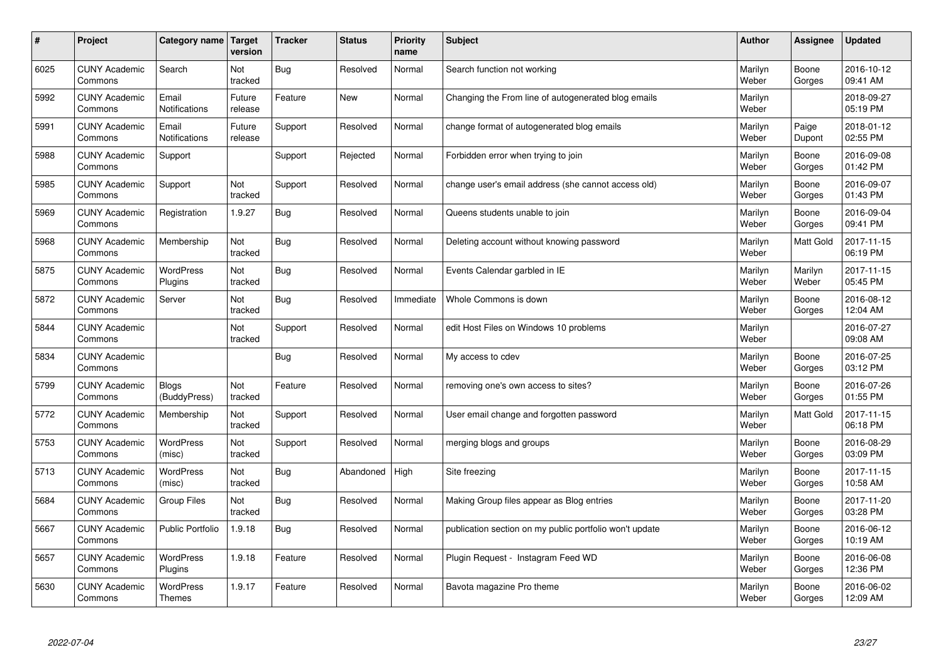| $\sharp$ | Project                         | Category name   Target            | version           | <b>Tracker</b> | <b>Status</b> | <b>Priority</b><br>name | <b>Subject</b>                                          | <b>Author</b>    | Assignee         | <b>Updated</b>         |
|----------|---------------------------------|-----------------------------------|-------------------|----------------|---------------|-------------------------|---------------------------------------------------------|------------------|------------------|------------------------|
| 6025     | <b>CUNY Academic</b><br>Commons | Search                            | Not<br>tracked    | Bug            | Resolved      | Normal                  | Search function not working                             | Marilyn<br>Weber | Boone<br>Gorges  | 2016-10-12<br>09:41 AM |
| 5992     | <b>CUNY Academic</b><br>Commons | Email<br><b>Notifications</b>     | Future<br>release | Feature        | New           | Normal                  | Changing the From line of autogenerated blog emails     | Marilyn<br>Weber |                  | 2018-09-27<br>05:19 PM |
| 5991     | <b>CUNY Academic</b><br>Commons | Email<br>Notifications            | Future<br>release | Support        | Resolved      | Normal                  | change format of autogenerated blog emails              | Marilyn<br>Weber | Paige<br>Dupont  | 2018-01-12<br>02:55 PM |
| 5988     | <b>CUNY Academic</b><br>Commons | Support                           |                   | Support        | Rejected      | Normal                  | Forbidden error when trying to join                     | Marilyn<br>Weber | Boone<br>Gorges  | 2016-09-08<br>01:42 PM |
| 5985     | <b>CUNY Academic</b><br>Commons | Support                           | Not<br>tracked    | Support        | Resolved      | Normal                  | change user's email address (she cannot access old)     | Marilyn<br>Weber | Boone<br>Gorges  | 2016-09-07<br>01:43 PM |
| 5969     | <b>CUNY Academic</b><br>Commons | Registration                      | 1.9.27            | <b>Bug</b>     | Resolved      | Normal                  | Queens students unable to join                          | Marilyn<br>Weber | Boone<br>Gorges  | 2016-09-04<br>09:41 PM |
| 5968     | <b>CUNY Academic</b><br>Commons | Membership                        | Not<br>tracked    | <b>Bug</b>     | Resolved      | Normal                  | Deleting account without knowing password               | Marilyn<br>Weber | <b>Matt Gold</b> | 2017-11-15<br>06:19 PM |
| 5875     | <b>CUNY Academic</b><br>Commons | WordPress<br>Plugins              | Not<br>tracked    | <b>Bug</b>     | Resolved      | Normal                  | Events Calendar garbled in IE                           | Marilyn<br>Weber | Marilyn<br>Weber | 2017-11-15<br>05:45 PM |
| 5872     | <b>CUNY Academic</b><br>Commons | Server                            | Not<br>tracked    | Bug            | Resolved      | Immediate               | Whole Commons is down                                   | Marilyn<br>Weber | Boone<br>Gorges  | 2016-08-12<br>12:04 AM |
| 5844     | <b>CUNY Academic</b><br>Commons |                                   | Not<br>tracked    | Support        | Resolved      | Normal                  | edit Host Files on Windows 10 problems                  | Marilyn<br>Weber |                  | 2016-07-27<br>09:08 AM |
| 5834     | <b>CUNY Academic</b><br>Commons |                                   |                   | <b>Bug</b>     | Resolved      | Normal                  | My access to cdev                                       | Marilyn<br>Weber | Boone<br>Gorges  | 2016-07-25<br>03:12 PM |
| 5799     | <b>CUNY Academic</b><br>Commons | Blogs<br>(BuddyPress)             | Not<br>tracked    | Feature        | Resolved      | Normal                  | removing one's own access to sites?                     | Marilyn<br>Weber | Boone<br>Gorges  | 2016-07-26<br>01:55 PM |
| 5772     | <b>CUNY Academic</b><br>Commons | Membership                        | Not<br>tracked    | Support        | Resolved      | Normal                  | User email change and forgotten password                | Marilyn<br>Weber | <b>Matt Gold</b> | 2017-11-15<br>06:18 PM |
| 5753     | <b>CUNY Academic</b><br>Commons | WordPress<br>(misc)               | Not<br>tracked    | Support        | Resolved      | Normal                  | merging blogs and groups                                | Marilyn<br>Weber | Boone<br>Gorges  | 2016-08-29<br>03:09 PM |
| 5713     | <b>CUNY Academic</b><br>Commons | <b>WordPress</b><br>(misc)        | Not<br>tracked    | Bug            | Abandoned     | High                    | Site freezing                                           | Marilyn<br>Weber | Boone<br>Gorges  | 2017-11-15<br>10:58 AM |
| 5684     | <b>CUNY Academic</b><br>Commons | <b>Group Files</b>                | Not<br>tracked    | <b>Bug</b>     | Resolved      | Normal                  | Making Group files appear as Blog entries               | Marilyn<br>Weber | Boone<br>Gorges  | 2017-11-20<br>03:28 PM |
| 5667     | <b>CUNY Academic</b><br>Commons | <b>Public Portfolio</b>           | 1.9.18            | <b>Bug</b>     | Resolved      | Normal                  | publication section on my public portfolio won't update | Marilyn<br>Weber | Boone<br>Gorges  | 2016-06-12<br>10:19 AM |
| 5657     | <b>CUNY Academic</b><br>Commons | WordPress<br>Plugins              | 1.9.18            | Feature        | Resolved      | Normal                  | Plugin Request - Instagram Feed WD                      | Marilyn<br>Weber | Boone<br>Gorges  | 2016-06-08<br>12:36 PM |
| 5630     | <b>CUNY Academic</b><br>Commons | <b>WordPress</b><br><b>Themes</b> | 1.9.17            | Feature        | Resolved      | Normal                  | Bavota magazine Pro theme                               | Marilyn<br>Weber | Boone<br>Gorges  | 2016-06-02<br>12:09 AM |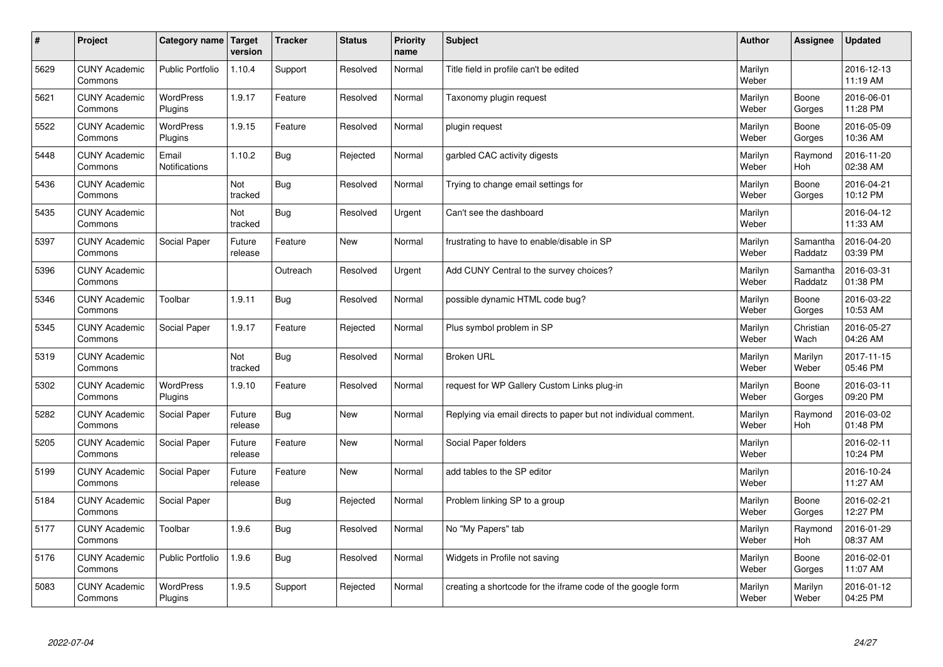| $\sharp$ | Project                         | Category name   Target      | version           | <b>Tracker</b> | <b>Status</b> | <b>Priority</b><br>name | <b>Subject</b>                                                  | <b>Author</b>    | Assignee              | <b>Updated</b>         |
|----------|---------------------------------|-----------------------------|-------------------|----------------|---------------|-------------------------|-----------------------------------------------------------------|------------------|-----------------------|------------------------|
| 5629     | <b>CUNY Academic</b><br>Commons | <b>Public Portfolio</b>     | 1.10.4            | Support        | Resolved      | Normal                  | Title field in profile can't be edited                          | Marilyn<br>Weber |                       | 2016-12-13<br>11:19 AM |
| 5621     | <b>CUNY Academic</b><br>Commons | <b>WordPress</b><br>Plugins | 1.9.17            | Feature        | Resolved      | Normal                  | Taxonomy plugin request                                         | Marilyn<br>Weber | Boone<br>Gorges       | 2016-06-01<br>11:28 PM |
| 5522     | <b>CUNY Academic</b><br>Commons | <b>WordPress</b><br>Plugins | 1.9.15            | Feature        | Resolved      | Normal                  | plugin request                                                  | Marilyn<br>Weber | Boone<br>Gorges       | 2016-05-09<br>10:36 AM |
| 5448     | <b>CUNY Academic</b><br>Commons | Email<br>Notifications      | 1.10.2            | <b>Bug</b>     | Rejected      | Normal                  | garbled CAC activity digests                                    | Marilyn<br>Weber | Raymond<br><b>Hoh</b> | 2016-11-20<br>02:38 AM |
| 5436     | <b>CUNY Academic</b><br>Commons |                             | Not<br>tracked    | Bug            | Resolved      | Normal                  | Trying to change email settings for                             | Marilyn<br>Weber | Boone<br>Gorges       | 2016-04-21<br>10:12 PM |
| 5435     | <b>CUNY Academic</b><br>Commons |                             | Not<br>tracked    | Bug            | Resolved      | Urgent                  | Can't see the dashboard                                         | Marilyn<br>Weber |                       | 2016-04-12<br>11:33 AM |
| 5397     | <b>CUNY Academic</b><br>Commons | Social Paper                | Future<br>release | Feature        | <b>New</b>    | Normal                  | frustrating to have to enable/disable in SP                     | Marilyn<br>Weber | Samantha<br>Raddatz   | 2016-04-20<br>03:39 PM |
| 5396     | <b>CUNY Academic</b><br>Commons |                             |                   | Outreach       | Resolved      | Urgent                  | Add CUNY Central to the survey choices?                         | Marilyn<br>Weber | Samantha<br>Raddatz   | 2016-03-31<br>01:38 PM |
| 5346     | <b>CUNY Academic</b><br>Commons | Toolbar                     | 1.9.11            | Bug            | Resolved      | Normal                  | possible dynamic HTML code bug?                                 | Marilyn<br>Weber | Boone<br>Gorges       | 2016-03-22<br>10:53 AM |
| 5345     | <b>CUNY Academic</b><br>Commons | Social Paper                | 1.9.17            | Feature        | Rejected      | Normal                  | Plus symbol problem in SP                                       | Marilyn<br>Weber | Christian<br>Wach     | 2016-05-27<br>04:26 AM |
| 5319     | <b>CUNY Academic</b><br>Commons |                             | Not<br>tracked    | <b>Bug</b>     | Resolved      | Normal                  | <b>Broken URL</b>                                               | Marilyn<br>Weber | Marilyn<br>Weber      | 2017-11-15<br>05:46 PM |
| 5302     | <b>CUNY Academic</b><br>Commons | <b>WordPress</b><br>Plugins | 1.9.10            | Feature        | Resolved      | Normal                  | request for WP Gallery Custom Links plug-in                     | Marilyn<br>Weber | Boone<br>Gorges       | 2016-03-11<br>09:20 PM |
| 5282     | <b>CUNY Academic</b><br>Commons | Social Paper                | Future<br>release | Bug            | New           | Normal                  | Replying via email directs to paper but not individual comment. | Marilyn<br>Weber | Raymond<br>Hoh        | 2016-03-02<br>01:48 PM |
| 5205     | <b>CUNY Academic</b><br>Commons | Social Paper                | Future<br>release | Feature        | <b>New</b>    | Normal                  | Social Paper folders                                            | Marilyn<br>Weber |                       | 2016-02-11<br>10:24 PM |
| 5199     | <b>CUNY Academic</b><br>Commons | Social Paper                | Future<br>release | Feature        | <b>New</b>    | Normal                  | add tables to the SP editor                                     | Marilyn<br>Weber |                       | 2016-10-24<br>11:27 AM |
| 5184     | <b>CUNY Academic</b><br>Commons | Social Paper                |                   | Bug            | Rejected      | Normal                  | Problem linking SP to a group                                   | Marilyn<br>Weber | Boone<br>Gorges       | 2016-02-21<br>12:27 PM |
| 5177     | <b>CUNY Academic</b><br>Commons | Toolbar                     | 1.9.6             | Bug            | Resolved      | Normal                  | No "My Papers" tab                                              | Marilyn<br>Weber | Raymond<br><b>Hoh</b> | 2016-01-29<br>08:37 AM |
| 5176     | <b>CUNY Academic</b><br>Commons | <b>Public Portfolio</b>     | 1.9.6             | Bug            | Resolved      | Normal                  | Widgets in Profile not saving                                   | Marilyn<br>Weber | Boone<br>Gorges       | 2016-02-01<br>11:07 AM |
| 5083     | <b>CUNY Academic</b><br>Commons | <b>WordPress</b><br>Plugins | 1.9.5             | Support        | Rejected      | Normal                  | creating a shortcode for the iframe code of the google form     | Marilyn<br>Weber | Marilyn<br>Weber      | 2016-01-12<br>04:25 PM |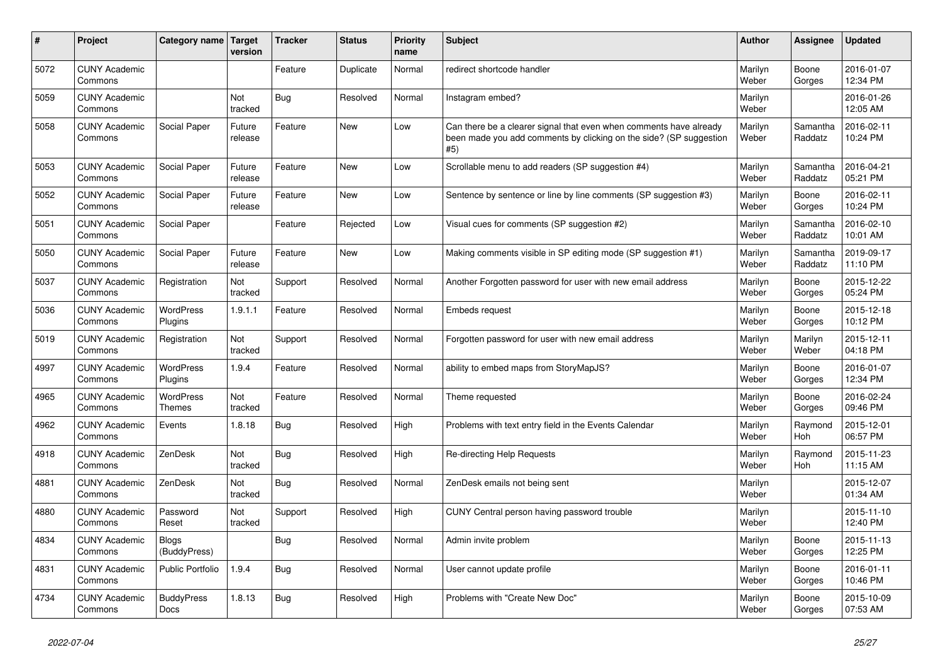| #    | Project                         | Category name Target             | version           | <b>Tracker</b> | <b>Status</b> | <b>Priority</b><br>name | <b>Subject</b>                                                                                                                                  | <b>Author</b>    | Assignee              | <b>Updated</b>         |
|------|---------------------------------|----------------------------------|-------------------|----------------|---------------|-------------------------|-------------------------------------------------------------------------------------------------------------------------------------------------|------------------|-----------------------|------------------------|
| 5072 | <b>CUNY Academic</b><br>Commons |                                  |                   | Feature        | Duplicate     | Normal                  | redirect shortcode handler                                                                                                                      | Marilyn<br>Weber | Boone<br>Gorges       | 2016-01-07<br>12:34 PM |
| 5059 | <b>CUNY Academic</b><br>Commons |                                  | Not<br>tracked    | <b>Bug</b>     | Resolved      | Normal                  | Instagram embed?                                                                                                                                | Marilyn<br>Weber |                       | 2016-01-26<br>12:05 AM |
| 5058 | <b>CUNY Academic</b><br>Commons | Social Paper                     | Future<br>release | Feature        | <b>New</b>    | Low                     | Can there be a clearer signal that even when comments have already<br>been made you add comments by clicking on the side? (SP suggestion<br>#5) | Marilyn<br>Weber | Samantha<br>Raddatz   | 2016-02-11<br>10:24 PM |
| 5053 | <b>CUNY Academic</b><br>Commons | Social Paper                     | Future<br>release | Feature        | <b>New</b>    | Low                     | Scrollable menu to add readers (SP suggestion #4)                                                                                               | Marilyn<br>Weber | Samantha<br>Raddatz   | 2016-04-21<br>05:21 PM |
| 5052 | <b>CUNY Academic</b><br>Commons | Social Paper                     | Future<br>release | Feature        | <b>New</b>    | Low                     | Sentence by sentence or line by line comments (SP suggestion #3)                                                                                | Marilyn<br>Weber | Boone<br>Gorges       | 2016-02-11<br>10:24 PM |
| 5051 | <b>CUNY Academic</b><br>Commons | Social Paper                     |                   | Feature        | Rejected      | Low                     | Visual cues for comments (SP suggestion #2)                                                                                                     | Marilyn<br>Weber | Samantha<br>Raddatz   | 2016-02-10<br>10:01 AM |
| 5050 | <b>CUNY Academic</b><br>Commons | Social Paper                     | Future<br>release | Feature        | <b>New</b>    | Low                     | Making comments visible in SP editing mode (SP suggestion #1)                                                                                   | Marilyn<br>Weber | Samantha<br>Raddatz   | 2019-09-17<br>11:10 PM |
| 5037 | <b>CUNY Academic</b><br>Commons | Registration                     | Not<br>tracked    | Support        | Resolved      | Normal                  | Another Forgotten password for user with new email address                                                                                      | Marilyn<br>Weber | Boone<br>Gorges       | 2015-12-22<br>05:24 PM |
| 5036 | <b>CUNY Academic</b><br>Commons | WordPress<br>Plugins             | 1.9.1.1           | Feature        | Resolved      | Normal                  | <b>Embeds request</b>                                                                                                                           | Marilyn<br>Weber | Boone<br>Gorges       | 2015-12-18<br>10:12 PM |
| 5019 | <b>CUNY Academic</b><br>Commons | Registration                     | Not<br>tracked    | Support        | Resolved      | Normal                  | Forgotten password for user with new email address                                                                                              | Marilyn<br>Weber | Marilyn<br>Weber      | 2015-12-11<br>04:18 PM |
| 4997 | <b>CUNY Academic</b><br>Commons | <b>WordPress</b><br>Plugins      | 1.9.4             | Feature        | Resolved      | Normal                  | ability to embed maps from StoryMapJS?                                                                                                          | Marilyn<br>Weber | Boone<br>Gorges       | 2016-01-07<br>12:34 PM |
| 4965 | <b>CUNY Academic</b><br>Commons | WordPress<br><b>Themes</b>       | Not<br>tracked    | Feature        | Resolved      | Normal                  | Theme requested                                                                                                                                 | Marilyn<br>Weber | Boone<br>Gorges       | 2016-02-24<br>09:46 PM |
| 4962 | <b>CUNY Academic</b><br>Commons | Events                           | 1.8.18            | Bug            | Resolved      | High                    | Problems with text entry field in the Events Calendar                                                                                           | Marilyn<br>Weber | Raymond<br><b>Hoh</b> | 2015-12-01<br>06:57 PM |
| 4918 | <b>CUNY Academic</b><br>Commons | ZenDesk                          | Not<br>tracked    | <b>Bug</b>     | Resolved      | High                    | Re-directing Help Requests                                                                                                                      | Marilyn<br>Weber | Raymond<br><b>Hoh</b> | 2015-11-23<br>11:15 AM |
| 4881 | <b>CUNY Academic</b><br>Commons | ZenDesk                          | Not<br>tracked    | <b>Bug</b>     | Resolved      | Normal                  | ZenDesk emails not being sent                                                                                                                   | Marilyn<br>Weber |                       | 2015-12-07<br>01:34 AM |
| 4880 | <b>CUNY Academic</b><br>Commons | Password<br>Reset                | Not<br>tracked    | Support        | Resolved      | High                    | CUNY Central person having password trouble                                                                                                     | Marilyn<br>Weber |                       | 2015-11-10<br>12:40 PM |
| 4834 | <b>CUNY Academic</b><br>Commons | <b>Blogs</b><br>(BuddyPress)     |                   | Bug            | Resolved      | Normal                  | Admin invite problem                                                                                                                            | Marilyn<br>Weber | Boone<br>Gorges       | 2015-11-13<br>12:25 PM |
| 4831 | <b>CUNY Academic</b><br>Commons | Public Portfolio                 | 1.9.4             | <b>Bug</b>     | Resolved      | Normal                  | User cannot update profile                                                                                                                      | Marilyn<br>Weber | Boone<br>Gorges       | 2016-01-11<br>10:46 PM |
| 4734 | <b>CUNY Academic</b><br>Commons | <b>BuddyPress</b><br><b>Docs</b> | 1.8.13            | Bug            | Resolved      | High                    | Problems with "Create New Doc"                                                                                                                  | Marilyn<br>Weber | Boone<br>Gorges       | 2015-10-09<br>07:53 AM |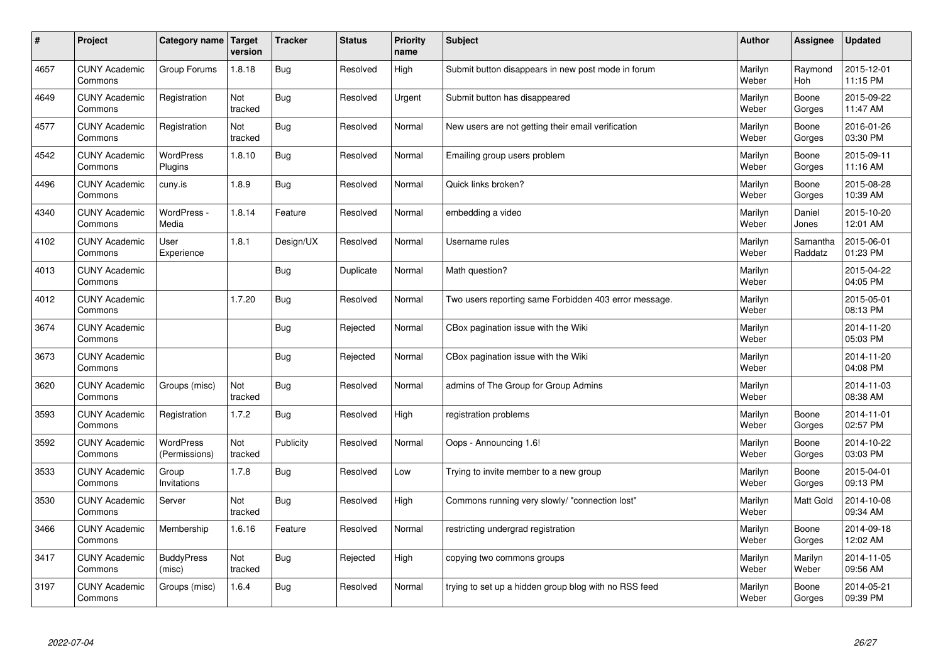| $\vert$ # | Project                         | Category name   Target      | version        | <b>Tracker</b> | <b>Status</b> | Priority<br>name | <b>Subject</b>                                        | <b>Author</b>    | Assignee              | <b>Updated</b>         |
|-----------|---------------------------------|-----------------------------|----------------|----------------|---------------|------------------|-------------------------------------------------------|------------------|-----------------------|------------------------|
| 4657      | <b>CUNY Academic</b><br>Commons | Group Forums                | 1.8.18         | <b>Bug</b>     | Resolved      | High             | Submit button disappears in new post mode in forum    | Marilyn<br>Weber | Raymond<br><b>Hoh</b> | 2015-12-01<br>11:15 PM |
| 4649      | <b>CUNY Academic</b><br>Commons | Registration                | Not<br>tracked | Bug            | Resolved      | Urgent           | Submit button has disappeared                         | Marilyn<br>Weber | Boone<br>Gorges       | 2015-09-22<br>11:47 AM |
| 4577      | <b>CUNY Academic</b><br>Commons | Registration                | Not<br>tracked | Bug            | Resolved      | Normal           | New users are not getting their email verification    | Marilyn<br>Weber | Boone<br>Gorges       | 2016-01-26<br>03:30 PM |
| 4542      | <b>CUNY Academic</b><br>Commons | <b>WordPress</b><br>Plugins | 1.8.10         | Bug            | Resolved      | Normal           | Emailing group users problem                          | Marilyn<br>Weber | Boone<br>Gorges       | 2015-09-11<br>11:16 AM |
| 4496      | <b>CUNY Academic</b><br>Commons | cuny.is                     | 1.8.9          | Bug            | Resolved      | Normal           | Quick links broken?                                   | Marilyn<br>Weber | Boone<br>Gorges       | 2015-08-28<br>10:39 AM |
| 4340      | <b>CUNY Academic</b><br>Commons | WordPress -<br>Media        | 1.8.14         | Feature        | Resolved      | Normal           | embedding a video                                     | Marilyn<br>Weber | Daniel<br>Jones       | 2015-10-20<br>12:01 AM |
| 4102      | <b>CUNY Academic</b><br>Commons | User<br>Experience          | 1.8.1          | Design/UX      | Resolved      | Normal           | Username rules                                        | Marilyn<br>Weber | Samantha<br>Raddatz   | 2015-06-01<br>01:23 PM |
| 4013      | <b>CUNY Academic</b><br>Commons |                             |                | Bug            | Duplicate     | Normal           | Math question?                                        | Marilyn<br>Weber |                       | 2015-04-22<br>04:05 PM |
| 4012      | <b>CUNY Academic</b><br>Commons |                             | 1.7.20         | Bug            | Resolved      | Normal           | Two users reporting same Forbidden 403 error message. | Marilyn<br>Weber |                       | 2015-05-01<br>08:13 PM |
| 3674      | <b>CUNY Academic</b><br>Commons |                             |                | <b>Bug</b>     | Rejected      | Normal           | CBox pagination issue with the Wiki                   | Marilyn<br>Weber |                       | 2014-11-20<br>05:03 PM |
| 3673      | <b>CUNY Academic</b><br>Commons |                             |                | Bug            | Rejected      | Normal           | CBox pagination issue with the Wiki                   | Marilyn<br>Weber |                       | 2014-11-20<br>04:08 PM |
| 3620      | <b>CUNY Academic</b><br>Commons | Groups (misc)               | Not<br>tracked | <b>Bug</b>     | Resolved      | Normal           | admins of The Group for Group Admins                  | Marilyn<br>Weber |                       | 2014-11-03<br>08:38 AM |
| 3593      | <b>CUNY Academic</b><br>Commons | Registration                | 1.7.2          | Bug            | Resolved      | High             | registration problems                                 | Marilyn<br>Weber | Boone<br>Gorges       | 2014-11-01<br>02:57 PM |
| 3592      | <b>CUNY Academic</b><br>Commons | WordPress<br>(Permissions)  | Not<br>tracked | Publicity      | Resolved      | Normal           | Oops - Announcing 1.6!                                | Marilyn<br>Weber | Boone<br>Gorges       | 2014-10-22<br>03:03 PM |
| 3533      | <b>CUNY Academic</b><br>Commons | Group<br>Invitations        | 1.7.8          | Bug            | Resolved      | Low              | Trying to invite member to a new group                | Marilyn<br>Weber | Boone<br>Gorges       | 2015-04-01<br>09:13 PM |
| 3530      | <b>CUNY Academic</b><br>Commons | Server                      | Not<br>tracked | Bug            | Resolved      | High             | Commons running very slowly/ "connection lost"        | Marilyn<br>Weber | <b>Matt Gold</b>      | 2014-10-08<br>09:34 AM |
| 3466      | <b>CUNY Academic</b><br>Commons | Membership                  | 1.6.16         | Feature        | Resolved      | Normal           | restricting undergrad registration                    | Marilyn<br>Weber | Boone<br>Gorges       | 2014-09-18<br>12:02 AM |
| 3417      | <b>CUNY Academic</b><br>Commons | <b>BuddyPress</b><br>(misc) | Not<br>tracked | Bug            | Rejected      | High             | copying two commons groups                            | Marilyn<br>Weber | Marilyn<br>Weber      | 2014-11-05<br>09:56 AM |
| 3197      | <b>CUNY Academic</b><br>Commons | Groups (misc)               | 1.6.4          | Bug            | Resolved      | Normal           | trying to set up a hidden group blog with no RSS feed | Marilyn<br>Weber | Boone<br>Gorges       | 2014-05-21<br>09:39 PM |